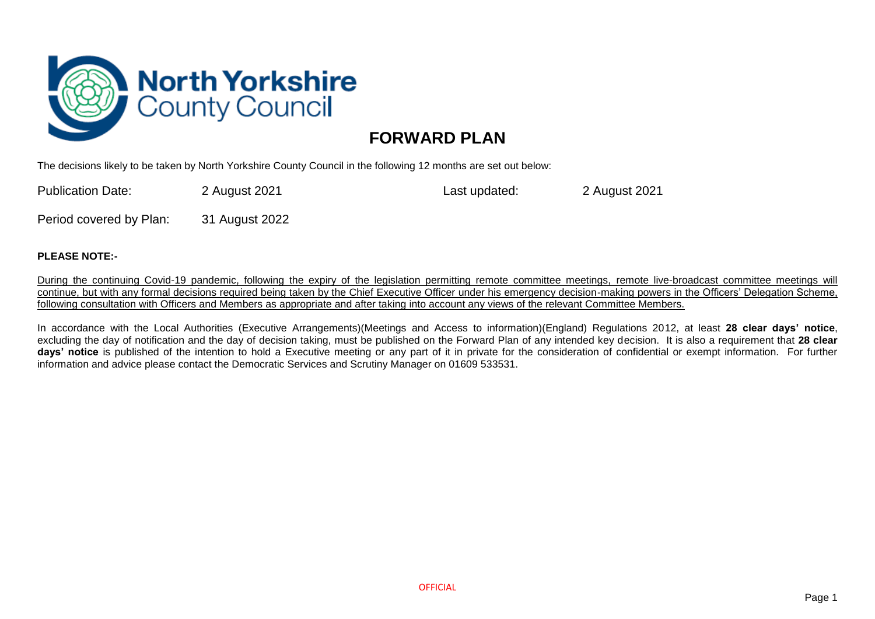

## **FORWARD PLAN**

The decisions likely to be taken by North Yorkshire County Council in the following 12 months are set out below:

Publication Date: 2 August 2021 Last updated: 2 August 2021

Period covered by Plan: 31 August 2022

## **PLEASE NOTE:-**

During the continuing Covid-19 pandemic, following the expiry of the legislation permitting remote committee meetings, remote live-broadcast committee meetings will continue, but with any formal decisions required being taken by the Chief Executive Officer under his emergency decision-making powers in the Officers' Delegation Scheme, following consultation with Officers and Members as appropriate and after taking into account any views of the relevant Committee Members.

In accordance with the Local Authorities (Executive Arrangements)(Meetings and Access to information)(England) Regulations 2012, at least **28 clear days' notice**, excluding the day of notification and the day of decision taking, must be published on the Forward Plan of any intended key decision. It is also a requirement that **28 clear days' notice** is published of the intention to hold a Executive meeting or any part of it in private for the consideration of confidential or exempt information. For further information and advice please contact the Democratic Services and Scrutiny Manager on 01609 533531.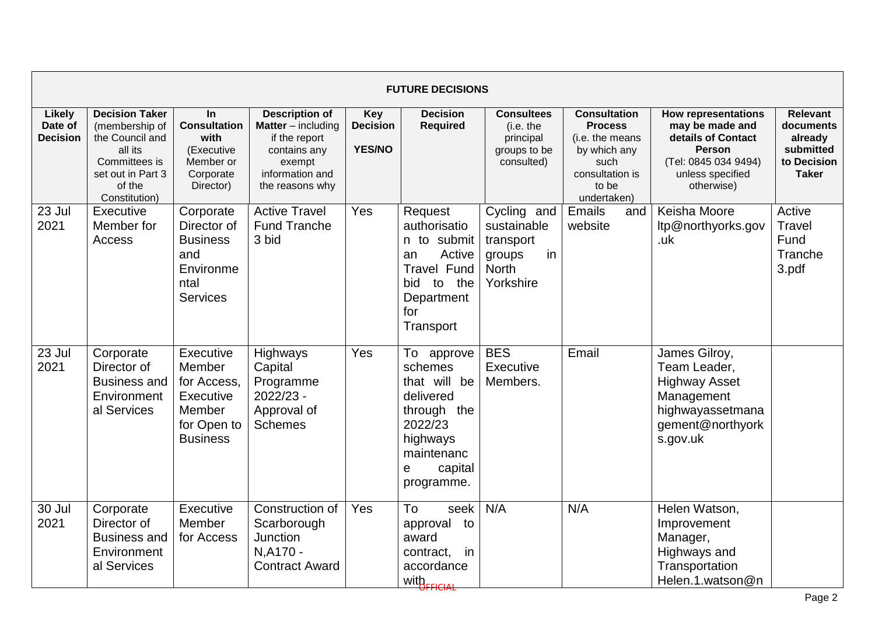|                                      |                                                                                                                                        |                                                                                             |                                                                                                                                     |                                                | <b>FUTURE DECISIONS</b>                                                                                                              |                                                                                      |                                                                                                                             |                                                                                                                                                |                                                                                     |
|--------------------------------------|----------------------------------------------------------------------------------------------------------------------------------------|---------------------------------------------------------------------------------------------|-------------------------------------------------------------------------------------------------------------------------------------|------------------------------------------------|--------------------------------------------------------------------------------------------------------------------------------------|--------------------------------------------------------------------------------------|-----------------------------------------------------------------------------------------------------------------------------|------------------------------------------------------------------------------------------------------------------------------------------------|-------------------------------------------------------------------------------------|
| Likely<br>Date of<br><b>Decision</b> | <b>Decision Taker</b><br>(membership of<br>the Council and<br>all its<br>Committees is<br>set out in Part 3<br>of the<br>Constitution) | In<br><b>Consultation</b><br>with<br>(Executive<br>Member or<br>Corporate<br>Director)      | <b>Description of</b><br><b>Matter</b> – including<br>if the report<br>contains any<br>exempt<br>information and<br>the reasons why | <b>Key</b><br><b>Decision</b><br><b>YES/NO</b> | <b>Decision</b><br><b>Required</b>                                                                                                   | <b>Consultees</b><br>(i.e. the<br>principal<br>groups to be<br>consulted)            | <b>Consultation</b><br><b>Process</b><br>(i.e. the means<br>by which any<br>such<br>consultation is<br>to be<br>undertaken) | <b>How representations</b><br>may be made and<br>details of Contact<br><b>Person</b><br>(Tel: 0845 034 9494)<br>unless specified<br>otherwise) | <b>Relevant</b><br>documents<br>already<br>submitted<br>to Decision<br><b>Taker</b> |
| 23 Jul<br>2021                       | Executive<br>Member for<br>Access                                                                                                      | Corporate<br>Director of<br><b>Business</b><br>and<br>Environme<br>ntal<br><b>Services</b>  | <b>Active Travel</b><br><b>Fund Tranche</b><br>3 bid                                                                                | Yes                                            | Request<br>authorisatio<br>n to submit<br>Active<br>an<br><b>Travel Fund</b><br>the<br>bid<br>to<br>Department<br>for<br>Transport   | Cycling and<br>sustainable<br>transport<br>in<br>groups<br><b>North</b><br>Yorkshire | Emails<br>and<br>website                                                                                                    | Keisha Moore<br>ltp@northyorks.gov<br>.uk                                                                                                      | Active<br>Travel<br>Fund<br>Tranche<br>3.pdf                                        |
| 23 Jul<br>2021                       | Corporate<br>Director of<br>Business and<br>Environment<br>al Services                                                                 | Executive<br>Member<br>for Access.<br>Executive<br>Member<br>for Open to<br><b>Business</b> | Highways<br>Capital<br>Programme<br>2022/23 -<br>Approval of<br><b>Schemes</b>                                                      | Yes                                            | To approve<br>schemes<br>that will be<br>delivered<br>through the<br>2022/23<br>highways<br>maintenanc<br>capital<br>е<br>programme. | <b>BES</b><br>Executive<br>Members.                                                  | Email                                                                                                                       | James Gilroy,<br>Team Leader,<br><b>Highway Asset</b><br>Management<br>highwayassetmana<br>gement@northyork<br>s.gov.uk                        |                                                                                     |
| 30 Jul<br>2021                       | Corporate<br>Director of<br><b>Business and</b><br>Environment<br>al Services                                                          | Executive<br>Member<br>for Access                                                           | Construction of<br>Scarborough<br>Junction<br>N.A170 -<br><b>Contract Award</b>                                                     | Yes                                            | To<br>seek<br>approval to<br>award<br>contract,<br>in<br>accordance<br>with <sub>FFICIAL</sub>                                       | N/A                                                                                  | N/A                                                                                                                         | Helen Watson,<br>Improvement<br>Manager,<br>Highways and<br>Transportation<br>Helen.1.watson@n                                                 |                                                                                     |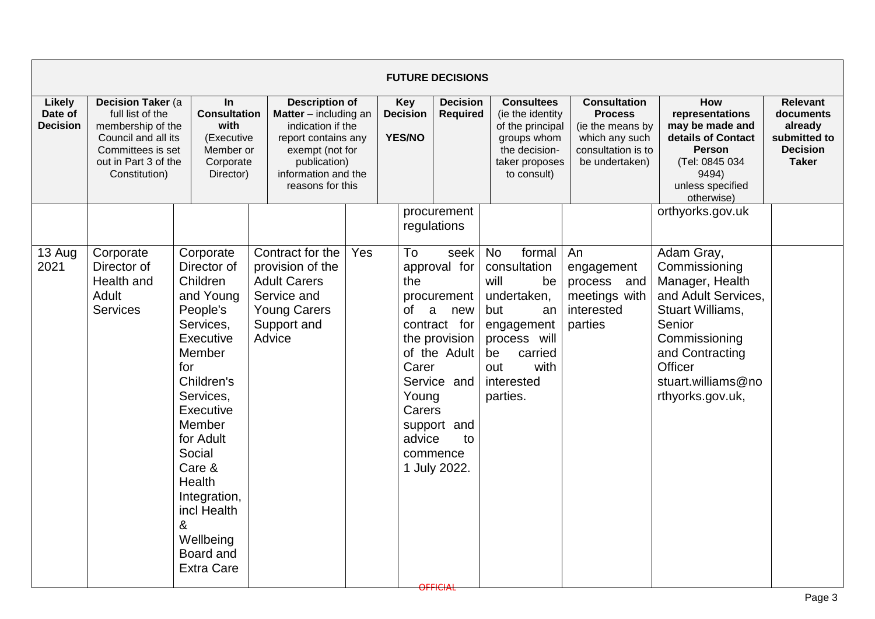|                                             |                                                                                                                                                 |                                                                                                                                                                                                                                                                                                        |                                                                                                                                                                                   |     |                                                            | <b>FUTURE DECISIONS</b>                                                                                                                                                 |                                                                                                                                                                       |                                                                                                                     |                                                                                                                                                                                              |                                                                                            |
|---------------------------------------------|-------------------------------------------------------------------------------------------------------------------------------------------------|--------------------------------------------------------------------------------------------------------------------------------------------------------------------------------------------------------------------------------------------------------------------------------------------------------|-----------------------------------------------------------------------------------------------------------------------------------------------------------------------------------|-----|------------------------------------------------------------|-------------------------------------------------------------------------------------------------------------------------------------------------------------------------|-----------------------------------------------------------------------------------------------------------------------------------------------------------------------|---------------------------------------------------------------------------------------------------------------------|----------------------------------------------------------------------------------------------------------------------------------------------------------------------------------------------|--------------------------------------------------------------------------------------------|
| <b>Likely</b><br>Date of<br><b>Decision</b> | Decision Taker (a<br>full list of the<br>membership of the<br>Council and all its<br>Committees is set<br>out in Part 3 of the<br>Constitution) | $\ln$<br><b>Consultation</b><br>with<br>(Executive<br>Member or<br>Corporate<br>Director)                                                                                                                                                                                                              | <b>Description of</b><br><b>Matter</b> $-$ including an<br>indication if the<br>report contains any<br>exempt (not for<br>publication)<br>information and the<br>reasons for this |     | <b>Key</b><br><b>Decision</b><br><b>YES/NO</b>             | <b>Decision</b><br>Required                                                                                                                                             | <b>Consultees</b><br>(ie the identity<br>of the principal<br>groups whom<br>the decision-<br>taker proposes<br>to consult)                                            | <b>Consultation</b><br><b>Process</b><br>(ie the means by<br>which any such<br>consultation is to<br>be undertaken) | <b>How</b><br>representations<br>may be made and<br>details of Contact<br><b>Person</b><br>(Tel: 0845 034<br>9494)<br>unless specified<br>otherwise)                                         | <b>Relevant</b><br>documents<br>already<br>submitted to<br><b>Decision</b><br><b>Taker</b> |
|                                             |                                                                                                                                                 |                                                                                                                                                                                                                                                                                                        |                                                                                                                                                                                   |     |                                                            | procurement<br>regulations                                                                                                                                              |                                                                                                                                                                       |                                                                                                                     | orthyorks.gov.uk                                                                                                                                                                             |                                                                                            |
| 13 Aug<br>2021                              | Corporate<br>Director of<br>Health and<br>Adult<br><b>Services</b>                                                                              | Corporate<br>Director of<br>Children<br>and Young<br>People's<br>Services,<br>Executive<br>Member<br>for<br>Children's<br>Services,<br><b>Executive</b><br>Member<br>for Adult<br>Social<br>Care &<br><b>Health</b><br>Integration,<br>incl Health<br>&<br>Wellbeing<br>Board and<br><b>Extra Care</b> | Contract for the<br>provision of the<br><b>Adult Carers</b><br>Service and<br><b>Young Carers</b><br>Support and<br>Advice                                                        | Yes | To<br>the<br>0f<br>a<br>Carer<br>Young<br>Carers<br>advice | seek<br>approval for<br>procurement<br>new<br>contract for<br>the provision<br>of the Adult<br>Service and<br>support and<br>to<br>commence<br>1 July 2022.<br>OFFICIAL | <b>No</b><br>formal<br>consultation<br>will<br>be<br>undertaken,<br>but<br>an<br>engagement<br>process will<br>be<br>carried<br>with<br>out<br>interested<br>parties. | An<br>engagement<br>process and<br>meetings with<br>interested<br>parties                                           | Adam Gray,<br>Commissioning<br>Manager, Health<br>and Adult Services,<br>Stuart Williams,<br>Senior<br>Commissioning<br>and Contracting<br>Officer<br>stuart.williams@no<br>rthyorks.gov.uk, |                                                                                            |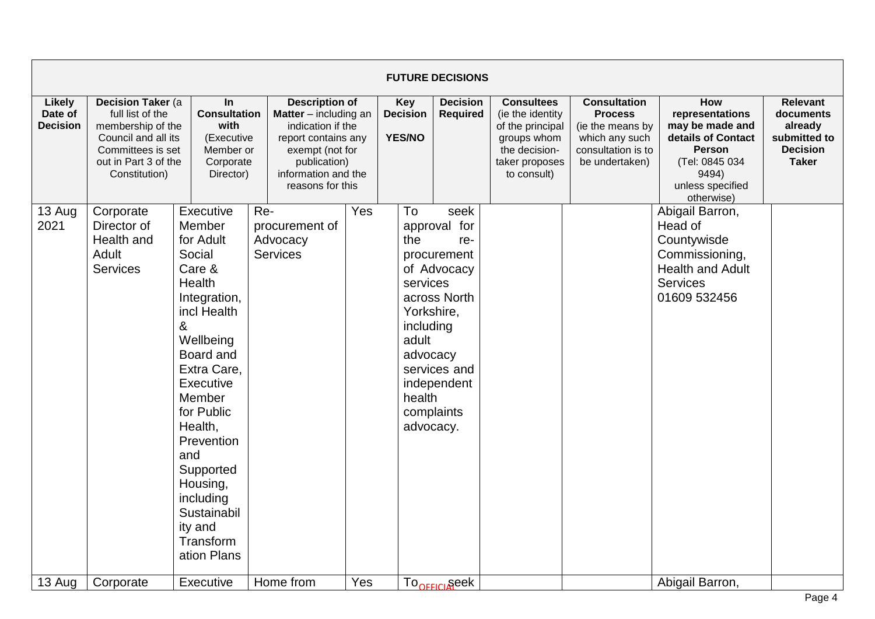|                                             |                                                                                                                                                 |                                                                                                                                                                                                                                                                                                              |                                                                                                                                                                                 |     |                                                                                              | <b>FUTURE DECISIONS</b>                                                                                                |                                                                                                                             |                                                                                                                     |                                                                                                                                               |                                                                                            |
|---------------------------------------------|-------------------------------------------------------------------------------------------------------------------------------------------------|--------------------------------------------------------------------------------------------------------------------------------------------------------------------------------------------------------------------------------------------------------------------------------------------------------------|---------------------------------------------------------------------------------------------------------------------------------------------------------------------------------|-----|----------------------------------------------------------------------------------------------|------------------------------------------------------------------------------------------------------------------------|-----------------------------------------------------------------------------------------------------------------------------|---------------------------------------------------------------------------------------------------------------------|-----------------------------------------------------------------------------------------------------------------------------------------------|--------------------------------------------------------------------------------------------|
| <b>Likely</b><br>Date of<br><b>Decision</b> | Decision Taker (a<br>full list of the<br>membership of the<br>Council and all its<br>Committees is set<br>out in Part 3 of the<br>Constitution) | $\ln$<br><b>Consultation</b><br>with<br>(Executive<br>Member or<br>Corporate<br>Director)                                                                                                                                                                                                                    | <b>Description of</b><br><b>Matter</b> – including an<br>indication if the<br>report contains any<br>exempt (not for<br>publication)<br>information and the<br>reasons for this |     | <b>Key</b><br><b>Decision</b><br><b>YES/NO</b>                                               | <b>Decision</b><br><b>Required</b>                                                                                     | <b>Consultees</b><br>(ie the identity)<br>of the principal<br>groups whom<br>the decision-<br>taker proposes<br>to consult) | <b>Consultation</b><br><b>Process</b><br>(ie the means by<br>which any such<br>consultation is to<br>be undertaken) | How<br>representations<br>may be made and<br>details of Contact<br><b>Person</b><br>(Tel: 0845 034<br>9494)<br>unless specified<br>otherwise) | <b>Relevant</b><br>documents<br>already<br>submitted to<br><b>Decision</b><br><b>Taker</b> |
| 13 Aug<br>2021                              | Corporate<br>Director of<br>Health and<br>Adult<br><b>Services</b>                                                                              | Executive<br>Member<br>for Adult<br>Social<br>Care &<br>Health<br>Integration,<br>incl Health<br>&<br>Wellbeing<br>Board and<br>Extra Care,<br>Executive<br>Member<br>for Public<br>Health,<br>Prevention<br>and<br>Supported<br>Housing,<br>including<br>Sustainabil<br>ity and<br>Transform<br>ation Plans | Re-<br>procurement of<br>Advocacy<br><b>Services</b>                                                                                                                            | Yes | To<br>the<br>services<br>Yorkshire,<br>including<br>adult<br>advocacy<br>health<br>advocacy. | seek<br>approval for<br>re-<br>procurement<br>of Advocacy<br>across North<br>services and<br>independent<br>complaints |                                                                                                                             |                                                                                                                     | Abigail Barron,<br>Head of<br>Countywisde<br>Commissioning,<br><b>Health and Adult</b><br><b>Services</b><br>01609 532456                     |                                                                                            |
| 13 Aug                                      | Corporate                                                                                                                                       | Executive                                                                                                                                                                                                                                                                                                    | Home from                                                                                                                                                                       | Yes |                                                                                              | To <sub>oFFICI</sub> seek                                                                                              |                                                                                                                             |                                                                                                                     | Abigail Barron,                                                                                                                               |                                                                                            |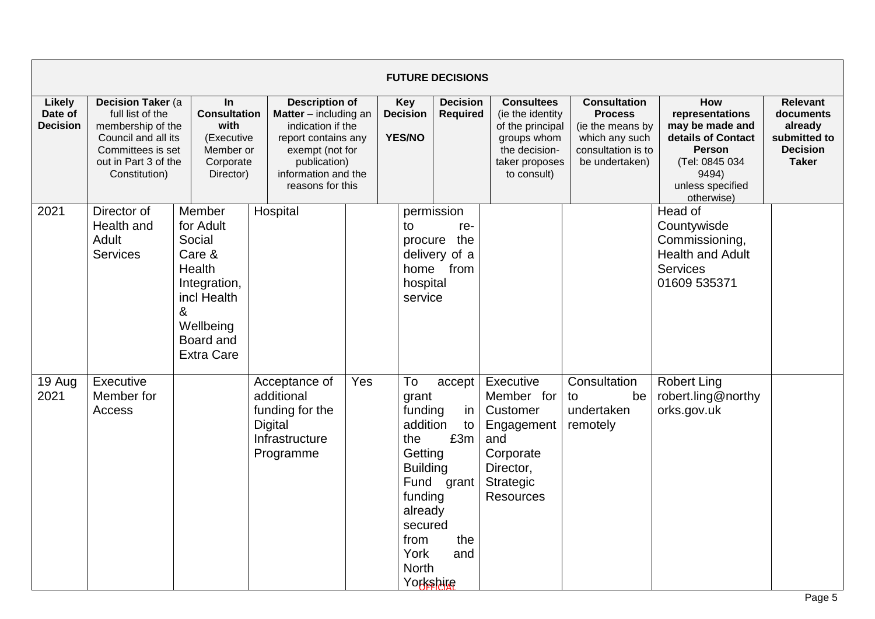|                                      |                                                |                                                                                                                                                                                                                                                                                                                                                                                  |                                                                                          |     |                                                                                                                                          | <b>FUTURE DECISIONS</b>                                            |                                                                                                                            |                                                                                                                     |                                                                                                                                               |                                                                                            |
|--------------------------------------|------------------------------------------------|----------------------------------------------------------------------------------------------------------------------------------------------------------------------------------------------------------------------------------------------------------------------------------------------------------------------------------------------------------------------------------|------------------------------------------------------------------------------------------|-----|------------------------------------------------------------------------------------------------------------------------------------------|--------------------------------------------------------------------|----------------------------------------------------------------------------------------------------------------------------|---------------------------------------------------------------------------------------------------------------------|-----------------------------------------------------------------------------------------------------------------------------------------------|--------------------------------------------------------------------------------------------|
| Likely<br>Date of<br><b>Decision</b> | full list of the<br>Constitution)              | Decision Taker (a<br><b>Description of</b><br>In<br><b>Consultation</b><br>Matter - including an<br>membership of the<br>with<br>indication if the<br>Council and all its<br>(Executive<br>report contains any<br>Committees is set<br>Member or<br>exempt (not for<br>out in Part 3 of the<br>Corporate<br>publication)<br>Director)<br>information and the<br>reasons for this |                                                                                          |     | <b>Key</b><br><b>Decision</b><br>YES/NO                                                                                                  | <b>Decision</b><br><b>Required</b>                                 | <b>Consultees</b><br>(ie the identity<br>of the principal<br>groups whom<br>the decision-<br>taker proposes<br>to consult) | <b>Consultation</b><br><b>Process</b><br>(ie the means by<br>which any such<br>consultation is to<br>be undertaken) | How<br>representations<br>may be made and<br>details of Contact<br><b>Person</b><br>(Tel: 0845 034<br>9494)<br>unless specified<br>otherwise) | <b>Relevant</b><br>documents<br>already<br>submitted to<br><b>Decision</b><br><b>Taker</b> |
| 2021                                 | Director of<br>Health and<br>Adult<br>Services | Member<br>for Adult<br>Social<br>Care &<br><b>Health</b><br>Integration,<br>incl Health<br>&<br>Wellbeing<br>Board and<br><b>Extra Care</b>                                                                                                                                                                                                                                      | Hospital                                                                                 |     | to<br>hospital<br>service                                                                                                                | permission<br>re-<br>procure the<br>delivery of a<br>home from     |                                                                                                                            |                                                                                                                     | Head of<br>Countywisde<br>Commissioning,<br><b>Health and Adult</b><br><b>Services</b><br>01609 535371                                        |                                                                                            |
| 19 Aug<br>2021                       | Executive<br>Member for<br>Access              |                                                                                                                                                                                                                                                                                                                                                                                  | Acceptance of<br>additional<br>funding for the<br>Digital<br>Infrastructure<br>Programme | Yes | To<br>grant<br>funding<br>addition<br>the<br>Getting<br><b>Building</b><br>funding<br>already<br>secured<br>from<br>York<br><b>North</b> | accept<br>in<br>to<br>£3m<br>Fund grant<br>the<br>and<br>Yorkshire | Executive<br>Member for<br>Customer<br>Engagement<br>and<br>Corporate<br>Director,<br>Strategic<br><b>Resources</b>        | Consultation<br>be<br>to<br>undertaken<br>remotely                                                                  | <b>Robert Ling</b><br>robert.ling@northy<br>orks.gov.uk                                                                                       |                                                                                            |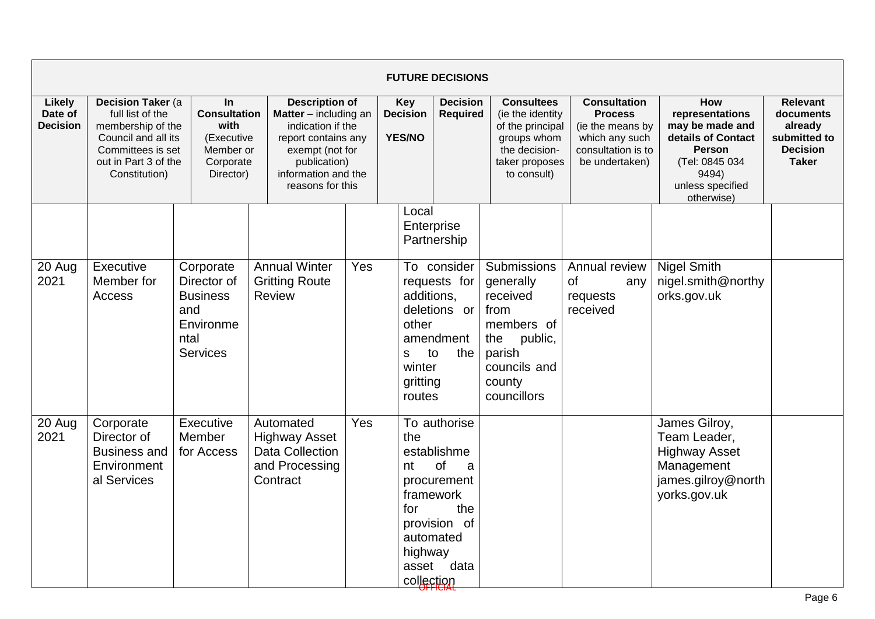|                                      |                                                                                                                                                 |                                                                                               |                                                                                                                                                                                   |                                         |                                                          | <b>FUTURE DECISIONS</b>                                                                                               |                                                                                                                                 |                                                                                                                     |                                                                                                                                                      |                                                                                            |
|--------------------------------------|-------------------------------------------------------------------------------------------------------------------------------------------------|-----------------------------------------------------------------------------------------------|-----------------------------------------------------------------------------------------------------------------------------------------------------------------------------------|-----------------------------------------|----------------------------------------------------------|-----------------------------------------------------------------------------------------------------------------------|---------------------------------------------------------------------------------------------------------------------------------|---------------------------------------------------------------------------------------------------------------------|------------------------------------------------------------------------------------------------------------------------------------------------------|--------------------------------------------------------------------------------------------|
| Likely<br>Date of<br><b>Decision</b> | Decision Taker (a<br>full list of the<br>membership of the<br>Council and all its<br>Committees is set<br>out in Part 3 of the<br>Constitution) | <b>In</b><br><b>Consultation</b><br>with<br>(Executive<br>Member or<br>Corporate<br>Director) | <b>Description of</b><br><b>Matter</b> $-$ including an<br>indication if the<br>report contains any<br>exempt (not for<br>publication)<br>information and the<br>reasons for this | Key<br><b>Decision</b><br><b>YES/NO</b> |                                                          | <b>Decision</b><br><b>Required</b>                                                                                    | <b>Consultees</b><br>(ie the identity<br>of the principal<br>groups whom<br>the decision-<br>taker proposes<br>to consult)      | <b>Consultation</b><br><b>Process</b><br>(ie the means by<br>which any such<br>consultation is to<br>be undertaken) | <b>How</b><br>representations<br>may be made and<br>details of Contact<br><b>Person</b><br>(Tel: 0845 034<br>9494)<br>unless specified<br>otherwise) | <b>Relevant</b><br>documents<br>already<br>submitted to<br><b>Decision</b><br><b>Taker</b> |
|                                      |                                                                                                                                                 |                                                                                               |                                                                                                                                                                                   |                                         | Local<br>Enterprise                                      | Partnership                                                                                                           |                                                                                                                                 |                                                                                                                     |                                                                                                                                                      |                                                                                            |
| 20 Aug<br>2021                       | Executive<br>Member for<br>Access                                                                                                               | Corporate<br>Director of<br><b>Business</b><br>and<br>Environme<br>ntal<br><b>Services</b>    | <b>Annual Winter</b><br><b>Gritting Route</b><br><b>Review</b>                                                                                                                    | Yes                                     | additions.<br>other<br>s<br>winter<br>gritting<br>routes | To consider<br>requests for<br>deletions or<br>amendment<br>the<br>to                                                 | Submissions<br>generally<br>received<br>from<br>members of<br>public,<br>the<br>parish<br>councils and<br>county<br>councillors | Annual review<br>0f<br>any<br>requests<br>received                                                                  | <b>Nigel Smith</b><br>nigel.smith@northy<br>orks.gov.uk                                                                                              |                                                                                            |
| 20 Aug<br>2021                       | Corporate<br>Director of<br><b>Business and</b><br>Environment<br>al Services                                                                   | Executive<br>Member<br>for Access                                                             | Automated<br><b>Highway Asset</b><br><b>Data Collection</b><br>and Processing<br>Contract                                                                                         | Yes                                     | the<br>nt<br>for<br>highway<br>asset<br>collection       | To authorise<br>establishme<br>$\circ$ f<br>a<br>procurement<br>framework<br>the<br>provision of<br>automated<br>data |                                                                                                                                 |                                                                                                                     | James Gilroy,<br>Team Leader,<br><b>Highway Asset</b><br>Management<br>james.gilroy@north<br>yorks.gov.uk                                            |                                                                                            |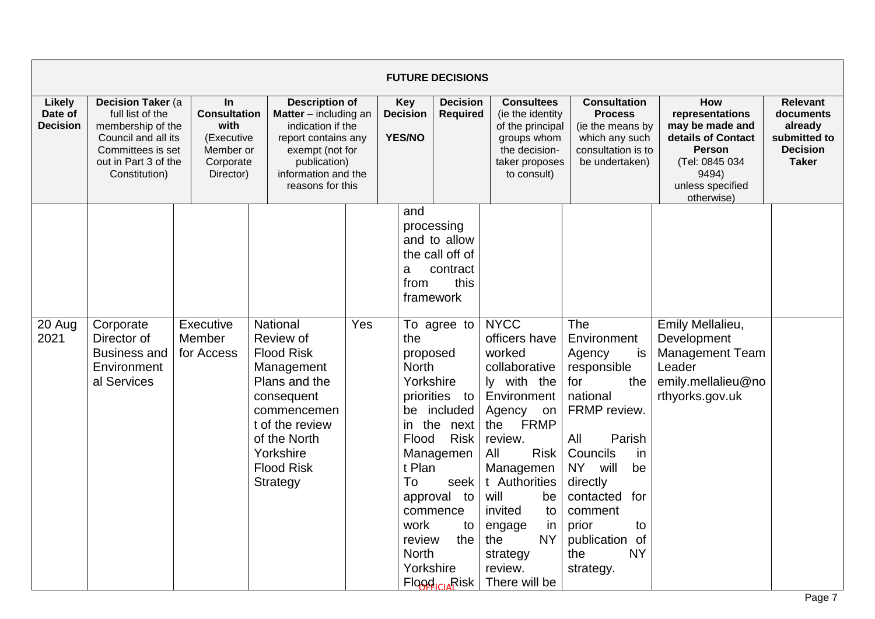|                                      |                                                                                                                                                 |                                                                                           |                                                                                                                                                                                         |                                                |                                                                                                                                | <b>FUTURE DECISIONS</b>                                                                                                                                      |                                                                                                                                                                                                                                                                                                       |                                                                                                                                                                                                                                                                        |                                                                                                                                               |                                                                                            |
|--------------------------------------|-------------------------------------------------------------------------------------------------------------------------------------------------|-------------------------------------------------------------------------------------------|-----------------------------------------------------------------------------------------------------------------------------------------------------------------------------------------|------------------------------------------------|--------------------------------------------------------------------------------------------------------------------------------|--------------------------------------------------------------------------------------------------------------------------------------------------------------|-------------------------------------------------------------------------------------------------------------------------------------------------------------------------------------------------------------------------------------------------------------------------------------------------------|------------------------------------------------------------------------------------------------------------------------------------------------------------------------------------------------------------------------------------------------------------------------|-----------------------------------------------------------------------------------------------------------------------------------------------|--------------------------------------------------------------------------------------------|
| Likely<br>Date of<br><b>Decision</b> | Decision Taker (a<br>full list of the<br>membership of the<br>Council and all its<br>Committees is set<br>out in Part 3 of the<br>Constitution) | $\ln$<br><b>Consultation</b><br>with<br>(Executive<br>Member or<br>Corporate<br>Director) | <b>Description of</b><br>Matter - including an<br>indication if the<br>report contains any<br>exempt (not for<br>publication)<br>information and the<br>reasons for this                | <b>Key</b><br><b>Decision</b><br><b>YES/NO</b> |                                                                                                                                | <b>Decision</b><br><b>Required</b>                                                                                                                           | <b>Consultees</b><br>(ie the identity<br>of the principal<br>groups whom<br>the decision-<br>taker proposes<br>to consult)                                                                                                                                                                            | <b>Consultation</b><br><b>Process</b><br>(ie the means by<br>which any such<br>consultation is to<br>be undertaken)                                                                                                                                                    | How<br>representations<br>may be made and<br>details of Contact<br><b>Person</b><br>(Tel: 0845 034<br>9494)<br>unless specified<br>otherwise) | <b>Relevant</b><br>documents<br>already<br>submitted to<br><b>Decision</b><br><b>Taker</b> |
|                                      |                                                                                                                                                 |                                                                                           |                                                                                                                                                                                         |                                                | and<br>a<br>from                                                                                                               | processing<br>and to allow<br>the call off of<br>contract<br>this<br>framework                                                                               |                                                                                                                                                                                                                                                                                                       |                                                                                                                                                                                                                                                                        |                                                                                                                                               |                                                                                            |
| 20 Aug<br>2021                       | Corporate<br>Director of<br><b>Business and</b><br>Environment<br>al Services                                                                   | Executive<br>Member<br>for Access                                                         | National<br>Review of<br><b>Flood Risk</b><br>Management<br>Plans and the<br>consequent<br>commencemen<br>t of the review<br>of the North<br>Yorkshire<br><b>Flood Risk</b><br>Strategy | Yes                                            | the<br>proposed<br><b>North</b><br>Yorkshire<br>in the<br>Flood<br>t Plan<br>To<br>work<br>review<br><b>North</b><br>Yorkshire | To agree to<br>priorities to<br>be included<br>next<br><b>Risk</b><br>Managemen<br>seek<br>approval to<br>commence<br>to<br>the<br>Flood <sub>icu</sub> Risk | <b>NYCC</b><br>officers have<br>worked<br>collaborative<br>ly with the<br>Environment<br>Agency<br>on<br><b>FRMP</b><br>the<br>review.<br><b>Risk</b><br>All<br>Managemen<br>t Authorities<br>will<br>be<br>invited<br>to<br>engage<br>in<br><b>NY</b><br>the<br>strategy<br>review.<br>There will be | The<br>Environment<br>Agency<br>is<br>responsible<br>for<br>the<br>national<br>FRMP review.<br>Parish<br>All<br>Councils<br>in<br><b>NY</b><br>will<br>be<br>directly<br>contacted<br>for<br>comment<br>prior<br>to<br>publication of<br><b>NY</b><br>the<br>strategy. | Emily Mellalieu,<br>Development<br>Management Team<br>Leader<br>emily.mellalieu@no<br>rthyorks.gov.uk                                         |                                                                                            |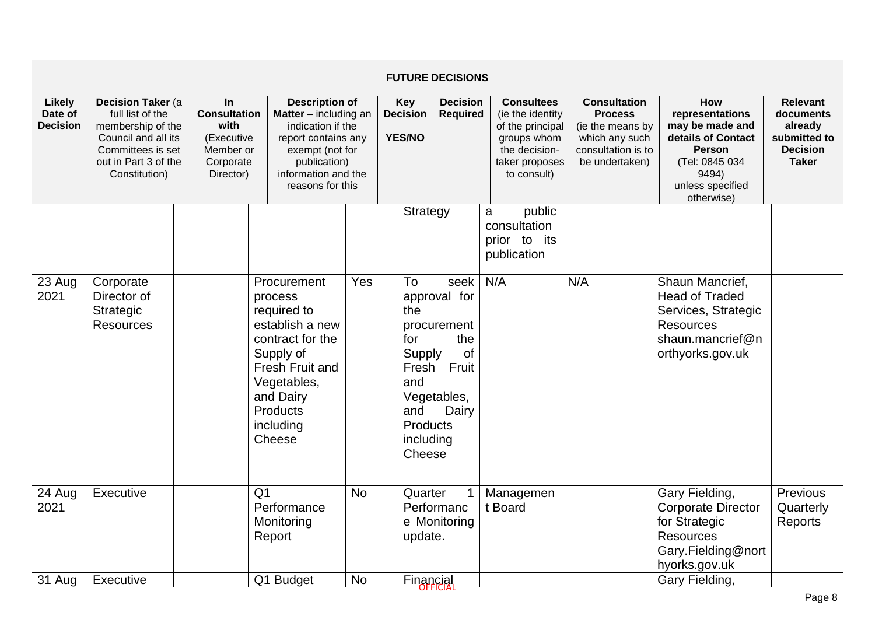|                                             |                                                                                                                                                 |                                                                                               |                                                                                                                                                                             |                        |                                                                                      | <b>FUTURE DECISIONS</b>                                                           |                                                                                                                             |                                                                                                                     |                                                                                                                                               |                                                                                            |
|---------------------------------------------|-------------------------------------------------------------------------------------------------------------------------------------------------|-----------------------------------------------------------------------------------------------|-----------------------------------------------------------------------------------------------------------------------------------------------------------------------------|------------------------|--------------------------------------------------------------------------------------|-----------------------------------------------------------------------------------|-----------------------------------------------------------------------------------------------------------------------------|---------------------------------------------------------------------------------------------------------------------|-----------------------------------------------------------------------------------------------------------------------------------------------|--------------------------------------------------------------------------------------------|
| <b>Likely</b><br>Date of<br><b>Decision</b> | Decision Taker (a<br>full list of the<br>membership of the<br>Council and all its<br>Committees is set<br>out in Part 3 of the<br>Constitution) | <b>In</b><br><b>Consultation</b><br>with<br>(Executive<br>Member or<br>Corporate<br>Director) | <b>Description of</b><br>Matter - including an<br>indication if the<br>report contains any<br>exempt (not for<br>publication)<br>information and the<br>reasons for this    |                        | <b>Key</b><br><b>Decision</b><br><b>YES/NO</b>                                       | <b>Decision</b><br><b>Required</b>                                                | <b>Consultees</b><br>(ie the identity)<br>of the principal<br>groups whom<br>the decision-<br>taker proposes<br>to consult) | <b>Consultation</b><br><b>Process</b><br>(ie the means by<br>which any such<br>consultation is to<br>be undertaken) | How<br>representations<br>may be made and<br>details of Contact<br><b>Person</b><br>(Tel: 0845 034<br>9494)<br>unless specified<br>otherwise) | <b>Relevant</b><br>documents<br>already<br>submitted to<br><b>Decision</b><br><b>Taker</b> |
|                                             |                                                                                                                                                 |                                                                                               |                                                                                                                                                                             |                        | Strategy                                                                             |                                                                                   | public<br>a<br>consultation<br>prior to its<br>publication                                                                  |                                                                                                                     |                                                                                                                                               |                                                                                            |
| 23 Aug<br>2021                              | Corporate<br>Director of<br><b>Strategic</b><br><b>Resources</b>                                                                                |                                                                                               | Procurement<br>process<br>required to<br>establish a new<br>contract for the<br>Supply of<br>Fresh Fruit and<br>Vegetables,<br>and Dairy<br>Products<br>including<br>Cheese | Yes                    | To<br>the<br>for<br>Supply<br>Fresh<br>and<br>and<br>Products<br>including<br>Cheese | seek<br>approval for<br>procurement<br>the<br>of<br>Fruit<br>Vegetables,<br>Dairy | N/A                                                                                                                         | N/A                                                                                                                 | Shaun Mancrief,<br><b>Head of Traded</b><br>Services, Strategic<br><b>Resources</b><br>shaun.mancrief@n<br>orthyorks.gov.uk                   |                                                                                            |
| 24 Aug<br>2021<br>31 Aug                    | Executive<br>Executive                                                                                                                          |                                                                                               | Q <sub>1</sub><br>Performance<br>Monitoring<br>Report<br>Q1 Budget                                                                                                          | <b>No</b><br><b>No</b> | Quarter<br>update.<br>Financial                                                      | $\mathbf 1$<br>Performanc<br>e Monitoring                                         | Managemen<br>t Board                                                                                                        |                                                                                                                     | Gary Fielding,<br><b>Corporate Director</b><br>for Strategic<br><b>Resources</b><br>Gary.Fielding@nort<br>hyorks.gov.uk<br>Gary Fielding,     | Previous<br>Quarterly<br>Reports                                                           |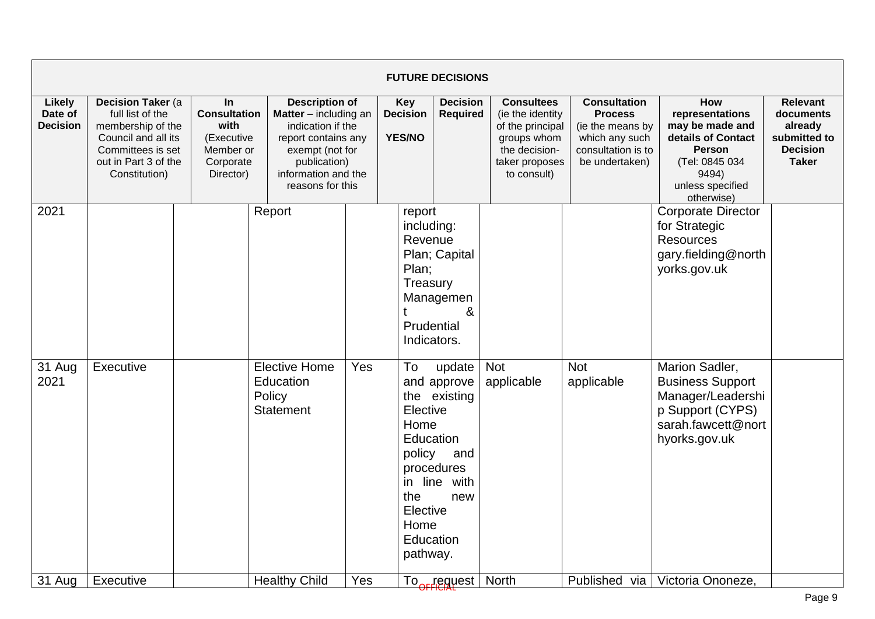|                                      |                                                                                                                                                         |                                                                                               |                                                                                                                                                                                   |     |                                                                                                              | <b>FUTURE DECISIONS</b>                                                   |                                                                                                                            |                                                                                                                     |                                                                                                                                                      |                                                                                     |
|--------------------------------------|---------------------------------------------------------------------------------------------------------------------------------------------------------|-----------------------------------------------------------------------------------------------|-----------------------------------------------------------------------------------------------------------------------------------------------------------------------------------|-----|--------------------------------------------------------------------------------------------------------------|---------------------------------------------------------------------------|----------------------------------------------------------------------------------------------------------------------------|---------------------------------------------------------------------------------------------------------------------|------------------------------------------------------------------------------------------------------------------------------------------------------|-------------------------------------------------------------------------------------|
| Likely<br>Date of<br><b>Decision</b> | <b>Decision Taker (a)</b><br>full list of the<br>membership of the<br>Council and all its<br>Committees is set<br>out in Part 3 of the<br>Constitution) | <b>In</b><br><b>Consultation</b><br>with<br>(Executive<br>Member or<br>Corporate<br>Director) | <b>Description of</b><br><b>Matter</b> $-$ including an<br>indication if the<br>report contains any<br>exempt (not for<br>publication)<br>information and the<br>reasons for this |     | <b>Key</b><br><b>Decision</b><br>YES/NO                                                                      | <b>Decision</b><br>Required                                               | <b>Consultees</b><br>(ie the identity<br>of the principal<br>groups whom<br>the decision-<br>taker proposes<br>to consult) | <b>Consultation</b><br><b>Process</b><br>(ie the means by<br>which any such<br>consultation is to<br>be undertaken) | <b>How</b><br>representations<br>may be made and<br>details of Contact<br><b>Person</b><br>(Tel: 0845 034<br>9494)<br>unless specified<br>otherwise) | Relevant<br>documents<br>already<br>submitted to<br><b>Decision</b><br><b>Taker</b> |
| 2021                                 |                                                                                                                                                         |                                                                                               | Report                                                                                                                                                                            |     | report<br>including:<br>Revenue<br>Plan;<br>Treasury<br>t<br>Prudential<br>Indicators.                       | Plan; Capital<br>Managemen<br>&                                           |                                                                                                                            |                                                                                                                     | <b>Corporate Director</b><br>for Strategic<br><b>Resources</b><br>gary.fielding@north<br>yorks.gov.uk                                                |                                                                                     |
| 31 Aug<br>2021                       | Executive                                                                                                                                               |                                                                                               | <b>Elective Home</b><br>Education<br>Policy<br><b>Statement</b>                                                                                                                   | Yes | To<br>Elective<br>Home<br>Education<br>policy<br>in line<br>the<br>Elective<br>Home<br>Education<br>pathway. | update<br>and approve<br>the existing<br>and<br>procedures<br>with<br>new | <b>Not</b><br>applicable                                                                                                   | <b>Not</b><br>applicable                                                                                            | Marion Sadler,<br><b>Business Support</b><br>Manager/Leadershi<br>p Support (CYPS)<br>sarah.fawcett@nort<br>hyorks.gov.uk                            |                                                                                     |
| 31 Aug                               | Executive                                                                                                                                               |                                                                                               | <b>Healthy Child</b>                                                                                                                                                              | Yes |                                                                                                              | To <sub>orr</sub> equest                                                  | <b>North</b>                                                                                                               | Published via                                                                                                       | Victoria Ononeze,                                                                                                                                    |                                                                                     |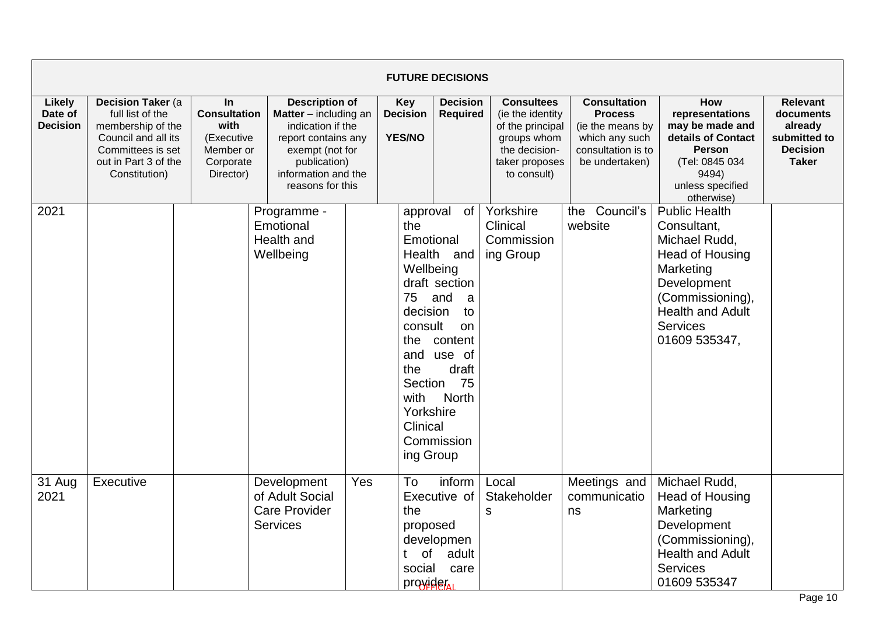|                                      |                                                                                                                                                 |                                                                                               |                                                                           |                                                                                                                                                                                                     |                                                                                                                                                      | <b>FUTURE DECISIONS</b>                                                                                                            |                                                                                                                                                                   |                                                                                                                     |                                                                                                                                                                                        |                                                                                            |
|--------------------------------------|-------------------------------------------------------------------------------------------------------------------------------------------------|-----------------------------------------------------------------------------------------------|---------------------------------------------------------------------------|-----------------------------------------------------------------------------------------------------------------------------------------------------------------------------------------------------|------------------------------------------------------------------------------------------------------------------------------------------------------|------------------------------------------------------------------------------------------------------------------------------------|-------------------------------------------------------------------------------------------------------------------------------------------------------------------|---------------------------------------------------------------------------------------------------------------------|----------------------------------------------------------------------------------------------------------------------------------------------------------------------------------------|--------------------------------------------------------------------------------------------|
| Likely<br>Date of<br><b>Decision</b> | Decision Taker (a<br>full list of the<br>membership of the<br>Council and all its<br>Committees is set<br>out in Part 3 of the<br>Constitution) | <b>In</b><br><b>Consultation</b><br>with<br>(Executive<br>Member or<br>Corporate<br>Director) | publication)                                                              | <b>Description of</b><br>Key<br><b>Decision</b><br>Matter - including an<br>indication if the<br><b>YES/NO</b><br>report contains any<br>exempt (not for<br>information and the<br>reasons for this |                                                                                                                                                      |                                                                                                                                    | <b>Decision</b><br><b>Consultees</b><br><b>Required</b><br>(ie the identity)<br>of the principal<br>groups whom<br>the decision-<br>taker proposes<br>to consult) | <b>Consultation</b><br><b>Process</b><br>(ie the means by<br>which any such<br>consultation is to<br>be undertaken) | How<br>representations<br>may be made and<br>details of Contact<br><b>Person</b><br>(Tel: 0845 034<br>9494)<br>unless specified<br>otherwise)                                          | <b>Relevant</b><br>documents<br>already<br>submitted to<br><b>Decision</b><br><b>Taker</b> |
| 2021                                 |                                                                                                                                                 |                                                                                               | Programme -<br>Emotional<br>Health and<br>Wellbeing                       |                                                                                                                                                                                                     | approval<br>the<br>Emotional<br>Wellbeing<br>75<br>decision<br>consult<br>the<br>and<br>the<br>Section<br>with<br>Yorkshire<br>Clinical<br>ing Group | of<br>Health and<br>draft section<br>and<br>a<br>to<br><b>on</b><br>content<br>use of<br>draft<br>75<br><b>North</b><br>Commission | Yorkshire<br>Clinical<br>Commission<br>ing Group                                                                                                                  | Council's<br>the<br>website                                                                                         | <b>Public Health</b><br>Consultant,<br>Michael Rudd,<br>Head of Housing<br>Marketing<br>Development<br>(Commissioning),<br><b>Health and Adult</b><br><b>Services</b><br>01609 535347, |                                                                                            |
| 31 Aug<br>2021                       | Executive                                                                                                                                       |                                                                                               | Development<br>of Adult Social<br><b>Care Provider</b><br><b>Services</b> | Yes                                                                                                                                                                                                 | To<br>the<br>proposed<br>of<br>social<br>provider                                                                                                    | inform<br>Executive of<br>developmen<br>adult<br>care                                                                              | Local<br>Stakeholder<br>${\sf S}$                                                                                                                                 | Meetings and<br>communicatio<br>ns                                                                                  | Michael Rudd,<br>Head of Housing<br>Marketing<br>Development<br>(Commissioning),<br><b>Health and Adult</b><br><b>Services</b><br>01609 535347                                         |                                                                                            |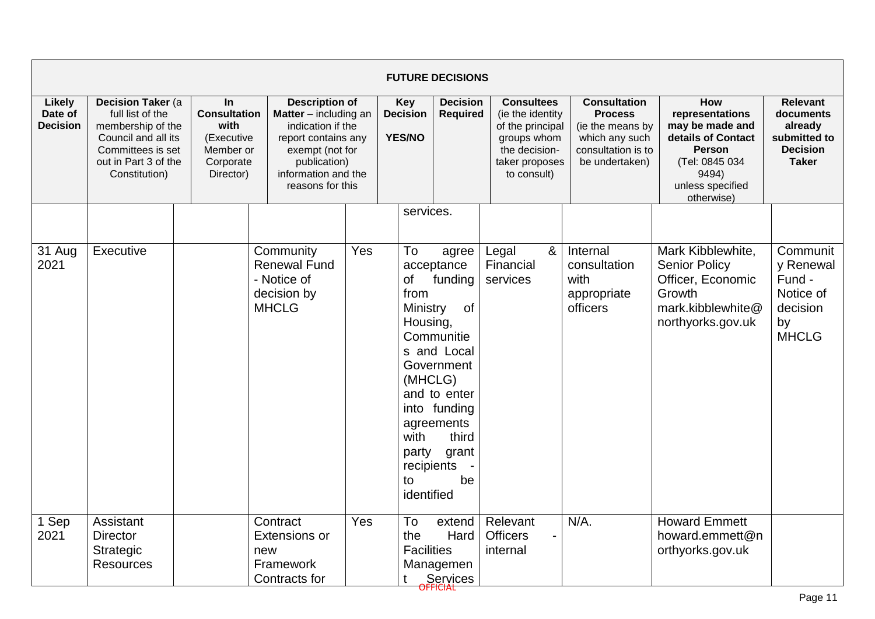|                                      |                                                                                                                                                 |                                                                                               |                                                                                                                                                                          |     |                                                                                                               | <b>FUTURE DECISIONS</b>                                                                                                                               |                                                                                                                            |   |                                                                                                                     |                                                                                                                                               |                                                                                            |
|--------------------------------------|-------------------------------------------------------------------------------------------------------------------------------------------------|-----------------------------------------------------------------------------------------------|--------------------------------------------------------------------------------------------------------------------------------------------------------------------------|-----|---------------------------------------------------------------------------------------------------------------|-------------------------------------------------------------------------------------------------------------------------------------------------------|----------------------------------------------------------------------------------------------------------------------------|---|---------------------------------------------------------------------------------------------------------------------|-----------------------------------------------------------------------------------------------------------------------------------------------|--------------------------------------------------------------------------------------------|
| Likely<br>Date of<br><b>Decision</b> | Decision Taker (a<br>full list of the<br>membership of the<br>Council and all its<br>Committees is set<br>out in Part 3 of the<br>Constitution) | <b>In</b><br><b>Consultation</b><br>with<br>(Executive<br>Member or<br>Corporate<br>Director) | <b>Description of</b><br>Matter - including an<br>indication if the<br>report contains any<br>exempt (not for<br>publication)<br>information and the<br>reasons for this |     | <b>Key</b><br><b>Decision</b><br><b>YES/NO</b>                                                                | <b>Decision</b><br><b>Required</b>                                                                                                                    | <b>Consultees</b><br>(ie the identity<br>of the principal<br>groups whom<br>the decision-<br>taker proposes<br>to consult) |   | <b>Consultation</b><br><b>Process</b><br>(ie the means by<br>which any such<br>consultation is to<br>be undertaken) | How<br>representations<br>may be made and<br>details of Contact<br><b>Person</b><br>(Tel: 0845 034<br>9494)<br>unless specified<br>otherwise) | <b>Relevant</b><br>documents<br>already<br>submitted to<br><b>Decision</b><br><b>Taker</b> |
|                                      |                                                                                                                                                 |                                                                                               |                                                                                                                                                                          |     | services.                                                                                                     |                                                                                                                                                       |                                                                                                                            |   |                                                                                                                     |                                                                                                                                               |                                                                                            |
| 31 Aug<br>2021                       | Executive                                                                                                                                       |                                                                                               | Community<br><b>Renewal Fund</b><br>- Notice of<br>decision by<br><b>MHCLG</b>                                                                                           | Yes | To<br><b>of</b><br>from<br>Ministry<br>Housing,<br>(MHCLG)<br>with<br>party<br>recipients<br>to<br>identified | agree<br>acceptance<br>funding<br>of<br>Communitie<br>s and Local<br>Government<br>and to enter<br>into funding<br>agreements<br>third<br>grant<br>be | Legal<br>Financial<br>services                                                                                             | & | Internal<br>consultation<br>with<br>appropriate<br>officers                                                         | Mark Kibblewhite,<br><b>Senior Policy</b><br>Officer, Economic<br>Growth<br>mark.kibblewhite@<br>northyorks.gov.uk                            | Communit<br>y Renewal<br>Fund -<br>Notice of<br>decision<br>by<br><b>MHCLG</b>             |
| 1 Sep<br>2021                        | Assistant<br><b>Director</b><br>Strategic<br><b>Resources</b>                                                                                   |                                                                                               | Contract<br><b>Extensions or</b><br>new<br>Framework<br>Contracts for                                                                                                    | Yes | To<br>the<br><b>Facilities</b>                                                                                | extend<br>Hard<br>Managemen<br>Services                                                                                                               | Relevant<br><b>Officers</b><br>internal                                                                                    |   | $N/A$ .                                                                                                             | <b>Howard Emmett</b><br>howard.emmett@n<br>orthyorks.gov.uk                                                                                   |                                                                                            |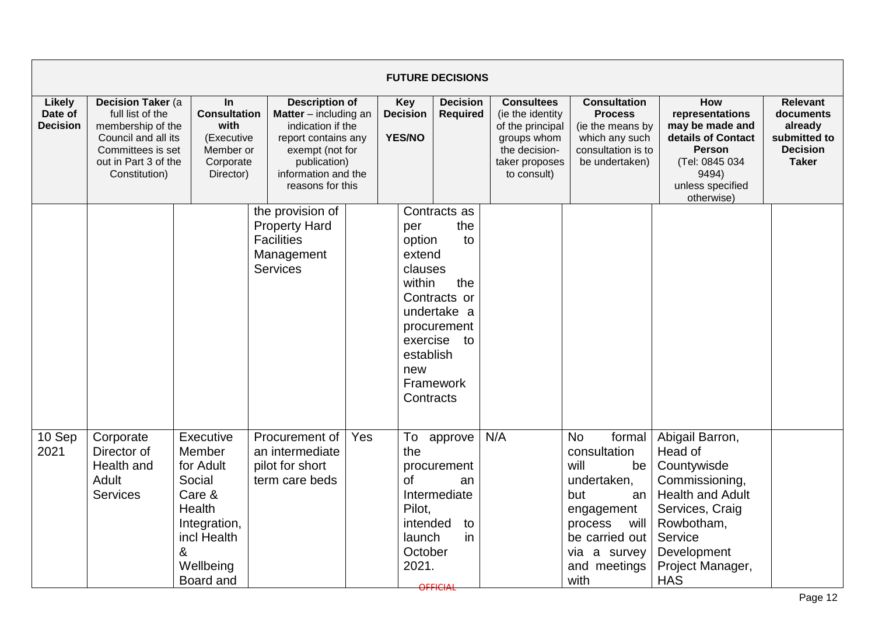|                                             |                                                                                                                                                 |                                                                                                                                     |                                                                                                                                                                                   |     |                                                                               | <b>FUTURE DECISIONS</b>                                                                                    |                                                                                                                            |                                                                                                                                                                          |                                                                                                                                                                                     |                                                                                            |
|---------------------------------------------|-------------------------------------------------------------------------------------------------------------------------------------------------|-------------------------------------------------------------------------------------------------------------------------------------|-----------------------------------------------------------------------------------------------------------------------------------------------------------------------------------|-----|-------------------------------------------------------------------------------|------------------------------------------------------------------------------------------------------------|----------------------------------------------------------------------------------------------------------------------------|--------------------------------------------------------------------------------------------------------------------------------------------------------------------------|-------------------------------------------------------------------------------------------------------------------------------------------------------------------------------------|--------------------------------------------------------------------------------------------|
| <b>Likely</b><br>Date of<br><b>Decision</b> | Decision Taker (a<br>full list of the<br>membership of the<br>Council and all its<br>Committees is set<br>out in Part 3 of the<br>Constitution) | <b>In</b><br><b>Consultation</b><br>with<br>(Executive<br>Member or<br>Corporate<br>Director)                                       | <b>Description of</b><br><b>Matter</b> $-$ including an<br>indication if the<br>report contains any<br>exempt (not for<br>publication)<br>information and the<br>reasons for this |     | <b>Key</b><br><b>Decision</b><br><b>Decision</b><br>Required<br>YES/NO        |                                                                                                            | <b>Consultees</b><br>(ie the identity<br>of the principal<br>groups whom<br>the decision-<br>taker proposes<br>to consult) | <b>Consultation</b><br><b>Process</b><br>(ie the means by<br>which any such<br>consultation is to<br>be undertaken)                                                      | How<br>representations<br>may be made and<br>details of Contact<br><b>Person</b><br>(Tel: 0845 034<br>9494)<br>unless specified<br>otherwise)                                       | <b>Relevant</b><br>documents<br>already<br>submitted to<br><b>Decision</b><br><b>Taker</b> |
|                                             |                                                                                                                                                 |                                                                                                                                     | the provision of<br><b>Property Hard</b><br><b>Facilities</b><br>Management<br><b>Services</b>                                                                                    |     | per<br>option<br>extend<br>clauses<br>within<br>establish<br>new<br>Contracts | Contracts as<br>the<br>to<br>the<br>Contracts or<br>undertake a<br>procurement<br>exercise to<br>Framework |                                                                                                                            |                                                                                                                                                                          |                                                                                                                                                                                     |                                                                                            |
| 10 Sep<br>2021                              | Corporate<br>Director of<br>Health and<br>Adult<br><b>Services</b>                                                                              | Executive<br>Member<br>for Adult<br>Social<br>Care &<br><b>Health</b><br>Integration,<br>incl Health<br>&<br>Wellbeing<br>Board and | Procurement of<br>an intermediate<br>pilot for short<br>term care beds                                                                                                            | Yes | To<br>the<br><b>of</b><br>Pilot,<br>intended<br>launch<br>October<br>2021.    | approve<br>procurement<br>an<br>Intermediate<br>to<br>in<br>OFFICIAL                                       | N/A                                                                                                                        | <b>No</b><br>formal<br>consultation<br>will<br>be<br>undertaken,<br>but<br>an<br>engagement<br>process<br>will<br>be carried out<br>via a survey<br>and meetings<br>with | Abigail Barron,<br>Head of<br>Countywisde<br>Commissioning,<br><b>Health and Adult</b><br>Services, Craig<br>Rowbotham,<br>Service<br>Development<br>Project Manager,<br><b>HAS</b> |                                                                                            |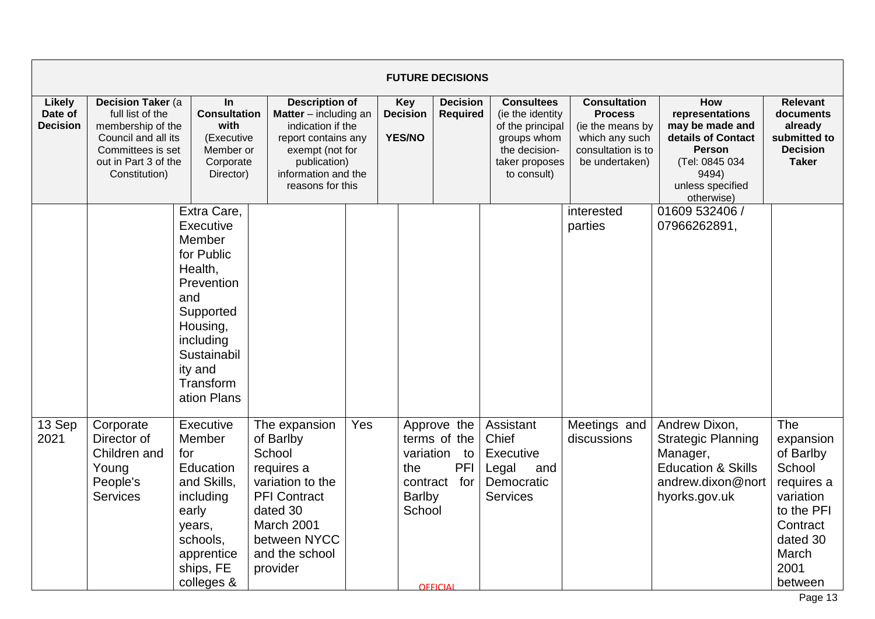|                                      |                                                                                                                                                         |                                                                                                                                                                              |                                                                                                                                                                                   |     |                                            | <b>FUTURE DECISIONS</b>                                                      |                                                                                                                            |                                                                                                                     |                                                                                                                                               |                                                                                                                                      |
|--------------------------------------|---------------------------------------------------------------------------------------------------------------------------------------------------------|------------------------------------------------------------------------------------------------------------------------------------------------------------------------------|-----------------------------------------------------------------------------------------------------------------------------------------------------------------------------------|-----|--------------------------------------------|------------------------------------------------------------------------------|----------------------------------------------------------------------------------------------------------------------------|---------------------------------------------------------------------------------------------------------------------|-----------------------------------------------------------------------------------------------------------------------------------------------|--------------------------------------------------------------------------------------------------------------------------------------|
| Likely<br>Date of<br><b>Decision</b> | <b>Decision Taker (a)</b><br>full list of the<br>membership of the<br>Council and all its<br>Committees is set<br>out in Part 3 of the<br>Constitution) | In<br><b>Consultation</b><br>with<br>(Executive<br>Member or<br>Corporate<br>Director)                                                                                       | <b>Description of</b><br><b>Matter</b> $-$ including an<br>indication if the<br>report contains any<br>exempt (not for<br>publication)<br>information and the<br>reasons for this |     |                                            | <b>Decision</b><br><b>Required</b>                                           | <b>Consultees</b><br>(ie the identity<br>of the principal<br>groups whom<br>the decision-<br>taker proposes<br>to consult) | <b>Consultation</b><br><b>Process</b><br>(ie the means by<br>which any such<br>consultation is to<br>be undertaken) | How<br>representations<br>may be made and<br>details of Contact<br><b>Person</b><br>(Tel: 0845 034<br>9494)<br>unless specified<br>otherwise) | <b>Relevant</b><br>documents<br>already<br>submitted to<br><b>Decision</b><br><b>Taker</b>                                           |
|                                      |                                                                                                                                                         | Extra Care,<br>Executive<br>Member<br>for Public<br>Health,<br>Prevention<br>and<br>Supported<br>Housing,<br>including<br>Sustainabil<br>ity and<br>Transform<br>ation Plans |                                                                                                                                                                                   |     |                                            |                                                                              |                                                                                                                            | interested<br>parties                                                                                               | 01609 532406 /<br>07966262891,                                                                                                                |                                                                                                                                      |
| 13 Sep<br>2021                       | Corporate<br>Director of<br>Children and<br>Young<br>People's<br><b>Services</b>                                                                        | Executive<br>Member<br>for<br>Education<br>and Skills,<br>including<br>early<br>years,<br>schools,<br>apprentice<br>ships, FE<br>colleges &                                  | The expansion<br>of Barlby<br>School<br>requires a<br>variation to the<br><b>PFI Contract</b><br>dated 30<br>March 2001<br>between NYCC<br>and the school<br>provider             | Yes | the<br>contract<br><b>Barlby</b><br>School | Approve the<br>terms of the<br>variation to<br>PFI<br>for<br><b>OFFICIAL</b> | Assistant<br>Chief<br>Executive<br>Legal<br>and<br>Democratic<br><b>Services</b>                                           | Meetings and<br>discussions                                                                                         | Andrew Dixon,<br><b>Strategic Planning</b><br>Manager,<br><b>Education &amp; Skills</b><br>andrew.dixon@nort<br>hyorks.gov.uk                 | The<br>expansion<br>of Barlby<br>School<br>requires a<br>variation<br>to the PFI<br>Contract<br>dated 30<br>March<br>2001<br>between |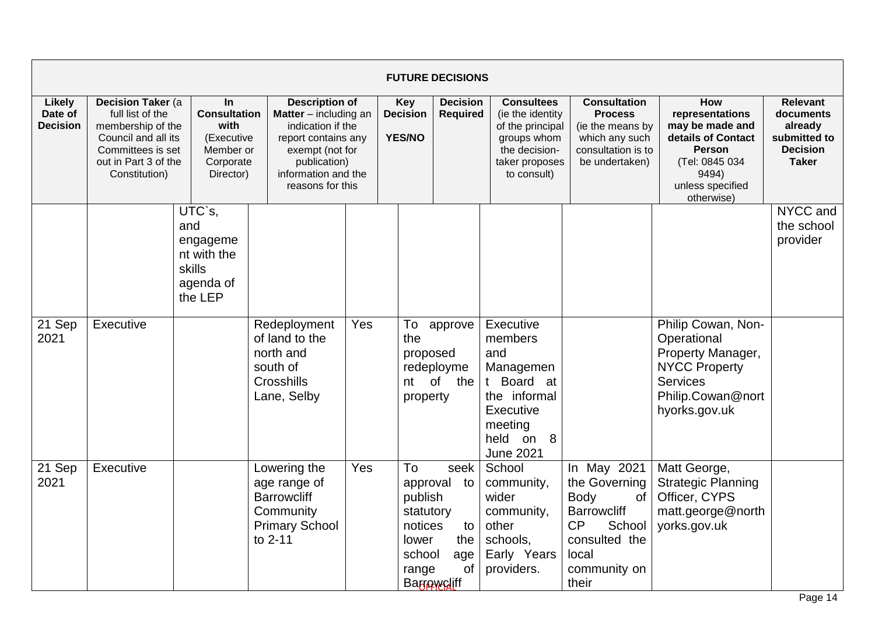|                                      |                                                                                                                                                 |                                                                                               |                                                                                                                                                                          |     |                                                                                              | <b>FUTURE DECISIONS</b>              |                                                                                                                                 |                                                                                                                                            |                                                                                                                                               |                                                                                            |
|--------------------------------------|-------------------------------------------------------------------------------------------------------------------------------------------------|-----------------------------------------------------------------------------------------------|--------------------------------------------------------------------------------------------------------------------------------------------------------------------------|-----|----------------------------------------------------------------------------------------------|--------------------------------------|---------------------------------------------------------------------------------------------------------------------------------|--------------------------------------------------------------------------------------------------------------------------------------------|-----------------------------------------------------------------------------------------------------------------------------------------------|--------------------------------------------------------------------------------------------|
| Likely<br>Date of<br><b>Decision</b> | Decision Taker (a<br>full list of the<br>membership of the<br>Council and all its<br>Committees is set<br>out in Part 3 of the<br>Constitution) | <b>In</b><br><b>Consultation</b><br>with<br>(Executive<br>Member or<br>Corporate<br>Director) | <b>Description of</b><br>Matter - including an<br>indication if the<br>report contains any<br>exempt (not for<br>publication)<br>information and the<br>reasons for this |     | <b>Key</b><br><b>Decision</b><br><b>YES/NO</b>                                               | <b>Decision</b><br><b>Required</b>   | <b>Consultees</b><br>(ie the identity<br>of the principal<br>groups whom<br>the decision-<br>taker proposes<br>to consult)      | <b>Consultation</b><br><b>Process</b><br>(ie the means by<br>which any such<br>consultation is to<br>be undertaken)                        | How<br>representations<br>may be made and<br>details of Contact<br><b>Person</b><br>(Tel: 0845 034<br>9494)<br>unless specified<br>otherwise) | <b>Relevant</b><br>documents<br>already<br>submitted to<br><b>Decision</b><br><b>Taker</b> |
|                                      |                                                                                                                                                 | UTC`s,<br>and<br>engageme<br>nt with the<br>skills<br>agenda of<br>the LEP                    |                                                                                                                                                                          |     |                                                                                              |                                      |                                                                                                                                 |                                                                                                                                            |                                                                                                                                               | NYCC and<br>the school<br>provider                                                         |
| 21 Sep<br>2021                       | Executive                                                                                                                                       |                                                                                               | Redeployment<br>of land to the<br>north and<br>south of<br>Crosshills<br>Lane, Selby                                                                                     | Yes | To<br>the<br>proposed<br>property                                                            | approve<br>redeployme<br>nt of the   | Executive<br>members<br>and<br>Managemen<br>t Board at<br>the informal<br>Executive<br>meeting<br>held on 8<br><b>June 2021</b> |                                                                                                                                            | Philip Cowan, Non-<br>Operational<br>Property Manager,<br><b>NYCC Property</b><br>Services<br>Philip.Cowan@nort<br>hyorks.gov.uk              |                                                                                            |
| 21 Sep<br>2021                       | Executive                                                                                                                                       |                                                                                               | Lowering the<br>age range of<br><b>Barrowcliff</b><br>Community<br><b>Primary School</b><br>to 2-11                                                                      | Yes | To<br>approval<br>publish<br>statutory<br>notices<br>lower<br>school<br>range<br>Barrowcliff | seek<br>to<br>to<br>the<br>age<br>of | School<br>community,<br>wider<br>community,<br>other<br>schools,<br>Early Years<br>providers.                                   | In May 2021<br>the Governing<br><b>Body</b><br>of<br><b>Barrowcliff</b><br>CP<br>School<br>consulted the<br>local<br>community on<br>their | Matt George,<br><b>Strategic Planning</b><br>Officer, CYPS<br>matt.george@north<br>yorks.gov.uk                                               |                                                                                            |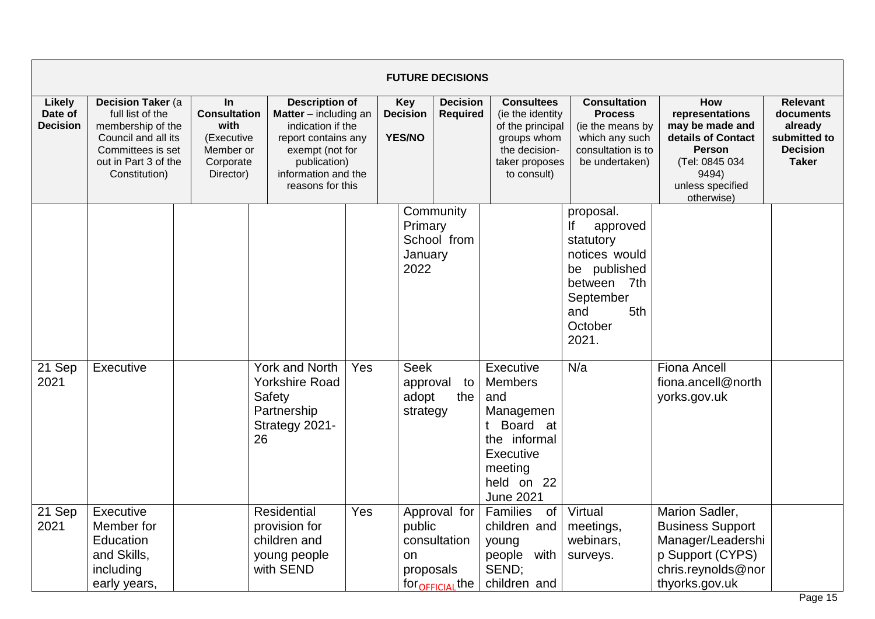|                                             |                                                                                                                                                 |                                                                                        |                                                                                                                                                                                   |     |                                                | <b>FUTURE DECISIONS</b>                                     |                                                                                                                                         |                                                                                                                                         |                                                                                                                                               |                                                                                            |
|---------------------------------------------|-------------------------------------------------------------------------------------------------------------------------------------------------|----------------------------------------------------------------------------------------|-----------------------------------------------------------------------------------------------------------------------------------------------------------------------------------|-----|------------------------------------------------|-------------------------------------------------------------|-----------------------------------------------------------------------------------------------------------------------------------------|-----------------------------------------------------------------------------------------------------------------------------------------|-----------------------------------------------------------------------------------------------------------------------------------------------|--------------------------------------------------------------------------------------------|
| <b>Likely</b><br>Date of<br><b>Decision</b> | Decision Taker (a<br>full list of the<br>membership of the<br>Council and all its<br>Committees is set<br>out in Part 3 of the<br>Constitution) | In<br><b>Consultation</b><br>with<br>(Executive<br>Member or<br>Corporate<br>Director) | <b>Description of</b><br><b>Matter</b> $-$ including an<br>indication if the<br>report contains any<br>exempt (not for<br>publication)<br>information and the<br>reasons for this |     | <b>Key</b><br><b>Decision</b><br><b>YES/NO</b> | <b>Decision</b><br>Required                                 | <b>Consultees</b><br>(ie the identity<br>of the principal<br>groups whom<br>the decision-<br>taker proposes<br>to consult)              | <b>Consultation</b><br><b>Process</b><br>(ie the means by<br>which any such<br>consultation is to<br>be undertaken)                     | How<br>representations<br>may be made and<br>details of Contact<br><b>Person</b><br>(Tel: 0845 034<br>9494)<br>unless specified<br>otherwise) | <b>Relevant</b><br>documents<br>already<br>submitted to<br><b>Decision</b><br><b>Taker</b> |
|                                             |                                                                                                                                                 |                                                                                        |                                                                                                                                                                                   |     | Primary<br>January<br>2022                     | Community<br>School from                                    |                                                                                                                                         | proposal.<br>lf<br>approved<br>statutory<br>notices would<br>be published<br>between 7th<br>September<br>5th<br>and<br>October<br>2021. |                                                                                                                                               |                                                                                            |
| 21 Sep<br>2021                              | Executive                                                                                                                                       |                                                                                        | <b>York and North</b><br><b>Yorkshire Road</b><br>Safety<br>Partnership<br>Strategy 2021-<br>26                                                                                   | Yes | <b>Seek</b><br>approval<br>adopt<br>strategy   | to<br>the                                                   | Executive<br><b>Members</b><br>and<br>Managemen<br>t Board at<br>the informal<br>Executive<br>meeting<br>held on 22<br><b>June 2021</b> | N/a                                                                                                                                     | <b>Fiona Ancell</b><br>fiona.ancell@north<br>yorks.gov.uk                                                                                     |                                                                                            |
| 21 Sep<br>2021                              | Executive<br>Member for<br>Education<br>and Skills,<br>including<br>early years,                                                                |                                                                                        | Residential<br>provision for<br>children and<br>young people<br>with SEND                                                                                                         | Yes | public<br>on<br>proposals                      | Approval for<br>consultation<br>for <sub>OFFICIAL</sub> the | Families<br>0f<br>children and<br>young<br>people with<br>SEND;<br>children and                                                         | Virtual<br>meetings,<br>webinars,<br>surveys.                                                                                           | Marion Sadler,<br><b>Business Support</b><br>Manager/Leadershi<br>p Support (CYPS)<br>chris.reynolds@nor<br>thyorks.gov.uk                    |                                                                                            |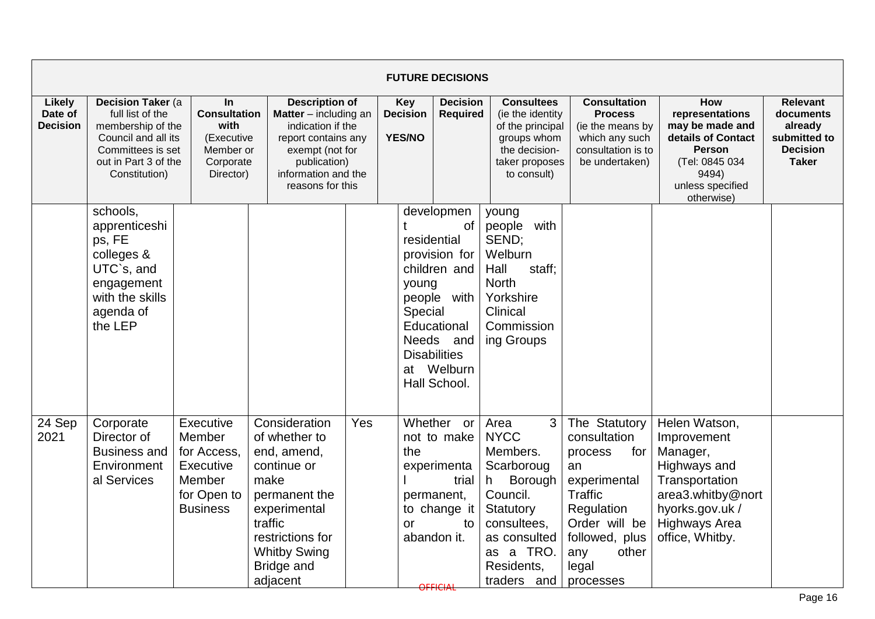|                                             |                                                                                                                                                 |                                                                                                    |                                                                                                                                                                                       |                                                |                                 | <b>FUTURE DECISIONS</b>                                                                                                                           |                                                                                                                                                                        |                                                                                                                                                                         |                                                                                                                                                               |                                                                                            |
|---------------------------------------------|-------------------------------------------------------------------------------------------------------------------------------------------------|----------------------------------------------------------------------------------------------------|---------------------------------------------------------------------------------------------------------------------------------------------------------------------------------------|------------------------------------------------|---------------------------------|---------------------------------------------------------------------------------------------------------------------------------------------------|------------------------------------------------------------------------------------------------------------------------------------------------------------------------|-------------------------------------------------------------------------------------------------------------------------------------------------------------------------|---------------------------------------------------------------------------------------------------------------------------------------------------------------|--------------------------------------------------------------------------------------------|
| <b>Likely</b><br>Date of<br><b>Decision</b> | Decision Taker (a<br>full list of the<br>membership of the<br>Council and all its<br>Committees is set<br>out in Part 3 of the<br>Constitution) | In<br><b>Consultation</b><br>with<br>(Executive<br>Member or<br>Corporate<br>Director)             | <b>Description of</b><br>Matter - including an<br>indication if the<br>report contains any<br>exempt (not for<br>publication)<br>information and the<br>reasons for this              | <b>Key</b><br><b>Decision</b><br><b>YES/NO</b> |                                 | <b>Decision</b><br><b>Required</b>                                                                                                                | <b>Consultees</b><br>(ie the identity<br>of the principal<br>groups whom<br>the decision-<br>taker proposes<br>to consult)                                             | <b>Consultation</b><br><b>Process</b><br>(ie the means by<br>which any such<br>consultation is to<br>be undertaken)                                                     | How<br>representations<br>may be made and<br>details of Contact<br><b>Person</b><br>(Tel: 0845 034<br>9494)<br>unless specified<br>otherwise)                 | <b>Relevant</b><br>documents<br>already<br>submitted to<br><b>Decision</b><br><b>Taker</b> |
|                                             | schools,<br>apprenticeshi<br>ps, FE<br>colleges &<br>UTC`s, and<br>engagement<br>with the skills<br>agenda of<br>the LEP                        |                                                                                                    |                                                                                                                                                                                       |                                                | residential<br>young<br>Special | developmen<br>of<br>provision for<br>children and<br>people with<br>Educational<br>Needs and<br><b>Disabilities</b><br>at Welburn<br>Hall School. | young<br>people with<br>SEND;<br>Welburn<br>Hall<br>staff;<br><b>North</b><br>Yorkshire<br>Clinical<br>Commission<br>ing Groups                                        |                                                                                                                                                                         |                                                                                                                                                               |                                                                                            |
| 24 Sep<br>2021                              | Corporate<br>Director of<br><b>Business and</b><br>Environment<br>al Services                                                                   | Executive<br>Member<br>for Access,<br>Executive<br><b>Member</b><br>for Open to<br><b>Business</b> | Consideration<br>of whether to<br>end, amend,<br>continue or<br>make<br>permanent the<br>experimental<br>traffic<br>restrictions for<br><b>Whitby Swing</b><br>Bridge and<br>adjacent | Yes                                            | the<br>or                       | Whether or<br>not to make<br>experimenta<br>trial<br>permanent,<br>to change it<br>to<br>abandon it.<br>OFFICIAL                                  | Area<br>3<br><b>NYCC</b><br>Members.<br>Scarboroug<br>Borough<br>h -<br>Council.<br>Statutory<br>consultees,<br>as consulted<br>as a TRO.<br>Residents,<br>traders and | The Statutory<br>consultation<br>process<br>for<br>an<br>experimental<br>Traffic<br>Regulation<br>Order will be<br>followed, plus<br>other<br>any<br>legal<br>processes | Helen Watson,<br>Improvement<br>Manager,<br>Highways and<br>Transportation<br>area3.whitby@nort<br>hyorks.gov.uk /<br><b>Highways Area</b><br>office, Whitby. |                                                                                            |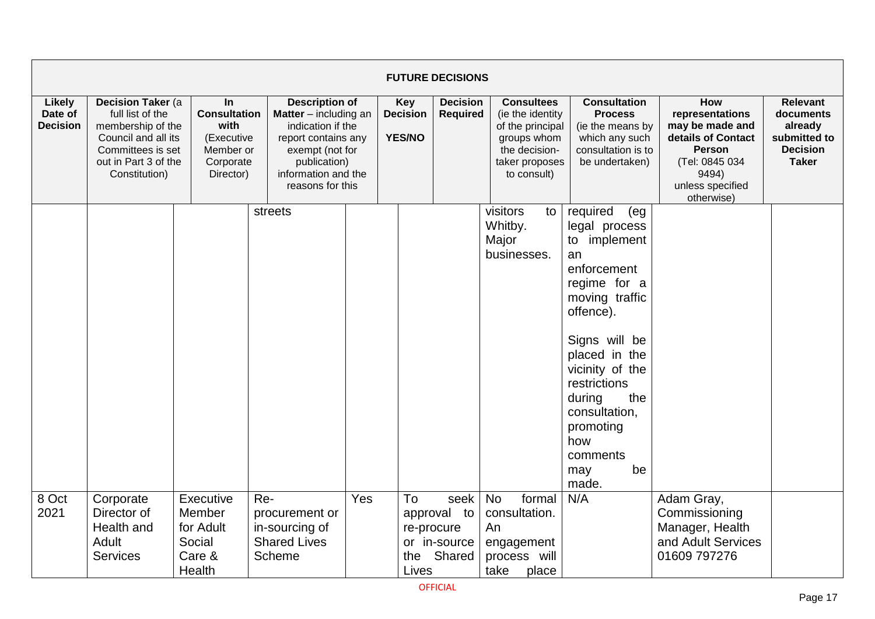|                                             |                                                                                                                                                 |                                                                                               |                                                                                                                                                                          |     |                                                | <b>FUTURE DECISIONS</b>                                     |                                                                                                                            |                                                                                                                                                                                                                                                                                      |                                                                                                                                               |                                                                                            |
|---------------------------------------------|-------------------------------------------------------------------------------------------------------------------------------------------------|-----------------------------------------------------------------------------------------------|--------------------------------------------------------------------------------------------------------------------------------------------------------------------------|-----|------------------------------------------------|-------------------------------------------------------------|----------------------------------------------------------------------------------------------------------------------------|--------------------------------------------------------------------------------------------------------------------------------------------------------------------------------------------------------------------------------------------------------------------------------------|-----------------------------------------------------------------------------------------------------------------------------------------------|--------------------------------------------------------------------------------------------|
| <b>Likely</b><br>Date of<br><b>Decision</b> | Decision Taker (a<br>full list of the<br>membership of the<br>Council and all its<br>Committees is set<br>out in Part 3 of the<br>Constitution) | <b>In</b><br><b>Consultation</b><br>with<br>(Executive<br>Member or<br>Corporate<br>Director) | <b>Description of</b><br>Matter - including an<br>indication if the<br>report contains any<br>exempt (not for<br>publication)<br>information and the<br>reasons for this |     | <b>Key</b><br><b>Decision</b><br><b>YES/NO</b> | <b>Decision</b><br><b>Required</b>                          | <b>Consultees</b><br>(ie the identity<br>of the principal<br>groups whom<br>the decision-<br>taker proposes<br>to consult) | <b>Consultation</b><br><b>Process</b><br>(ie the means by<br>which any such<br>consultation is to<br>be undertaken)                                                                                                                                                                  | How<br>representations<br>may be made and<br>details of Contact<br><b>Person</b><br>(Tel: 0845 034<br>9494)<br>unless specified<br>otherwise) | <b>Relevant</b><br>documents<br>already<br>submitted to<br><b>Decision</b><br><b>Taker</b> |
|                                             |                                                                                                                                                 |                                                                                               | streets                                                                                                                                                                  |     |                                                |                                                             | visitors<br>to<br>Whitby.<br>Major<br>businesses.                                                                          | required<br>(eg<br>legal process<br>implement<br>to<br>an<br>enforcement<br>regime for a<br>moving traffic<br>offence).<br>Signs will be<br>placed in the<br>vicinity of the<br>restrictions<br>during<br>the<br>consultation,<br>promoting<br>how<br>comments<br>be<br>may<br>made. |                                                                                                                                               |                                                                                            |
| 8 Oct<br>2021                               | Corporate<br>Director of<br>Health and<br><b>Adult</b><br><b>Services</b>                                                                       | Executive<br>Member<br>for Adult<br>Social<br>Care &<br>Health                                | Re-<br>procurement or<br>in-sourcing of<br><b>Shared Lives</b><br>Scheme                                                                                                 | Yes | To<br>the<br>Lives                             | seek<br>approval to<br>re-procure<br>or in-source<br>Shared | <b>No</b><br>formal<br>consultation.<br>An<br>engagement<br>process will<br>take<br>place                                  | N/A                                                                                                                                                                                                                                                                                  | Adam Gray,<br>Commissioning<br>Manager, Health<br>and Adult Services<br>01609 797276                                                          |                                                                                            |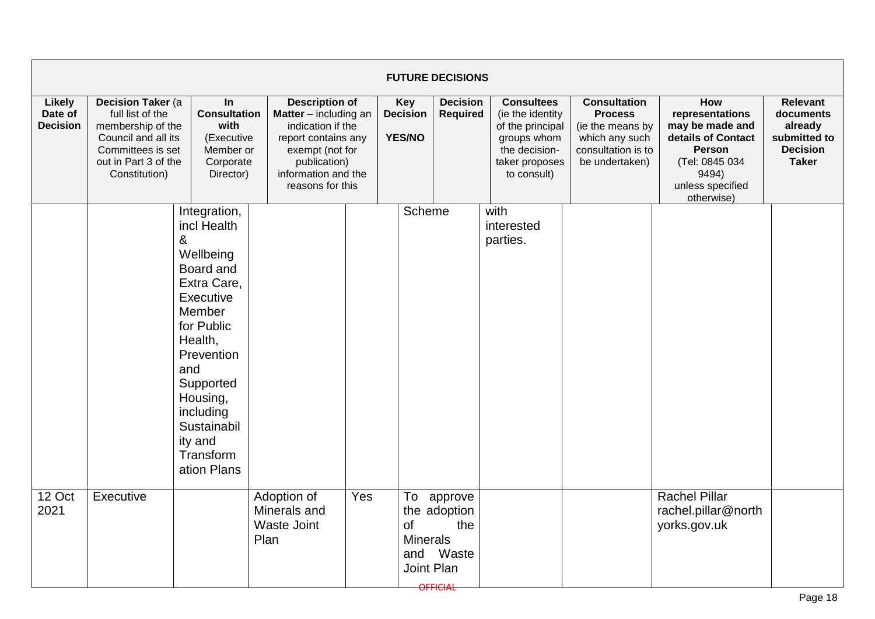|                                             |                                                                                                                                                                                                                                                                                                                                                                                                                                        |                                                                                                                                                                                                                                            |                                            |                                  |                                            | <b>FUTURE DECISIONS</b>                                                                                                    |                                                                                                                     |                                                                                                                                               |                                                                                            |  |
|---------------------------------------------|----------------------------------------------------------------------------------------------------------------------------------------------------------------------------------------------------------------------------------------------------------------------------------------------------------------------------------------------------------------------------------------------------------------------------------------|--------------------------------------------------------------------------------------------------------------------------------------------------------------------------------------------------------------------------------------------|--------------------------------------------|----------------------------------|--------------------------------------------|----------------------------------------------------------------------------------------------------------------------------|---------------------------------------------------------------------------------------------------------------------|-----------------------------------------------------------------------------------------------------------------------------------------------|--------------------------------------------------------------------------------------------|--|
| <b>Likely</b><br>Date of<br><b>Decision</b> | <b>Decision Taker (a)</b><br><b>Description of</b><br>In<br><b>Consultation</b><br>full list of the<br><b>Matter</b> $-$ including an<br>with<br>membership of the<br>indication if the<br>Council and all its<br>(Executive<br>report contains any<br>Committees is set<br>Member or<br>exempt (not for<br>out in Part 3 of the<br>Corporate<br>publication)<br>Constitution)<br>information and the<br>Director)<br>reasons for this |                                                                                                                                                                                                                                            |                                            | Key<br><b>Decision</b><br>YES/NO | <b>Decision</b><br><b>Required</b>         | <b>Consultees</b><br>(ie the identity<br>of the principal<br>groups whom<br>the decision-<br>taker proposes<br>to consult) | <b>Consultation</b><br><b>Process</b><br>(ie the means by<br>which any such<br>consultation is to<br>be undertaken) | <b>How</b><br>representations<br>may be made and<br>details of Contact<br>Person<br>(Tel: 0845 034<br>9494)<br>unless specified<br>otherwise) | <b>Relevant</b><br>documents<br>already<br>submitted to<br><b>Decision</b><br><b>Taker</b> |  |
| 12 Oct                                      | Executive                                                                                                                                                                                                                                                                                                                                                                                                                              | Integration,<br>incl Health<br>&<br>Wellbeing<br>Board and<br>Extra Care,<br>Executive<br>Member<br>for Public<br>Health,<br>Prevention<br>and<br>Supported<br>Housing,<br>including<br>Sustainabil<br>ity and<br>Transform<br>ation Plans | Adoption of                                | Yes                              | Scheme<br>To                               | approve                                                                                                                    | with<br>interested<br>parties.                                                                                      |                                                                                                                                               | <b>Rachel Pillar</b>                                                                       |  |
| 2021                                        |                                                                                                                                                                                                                                                                                                                                                                                                                                        |                                                                                                                                                                                                                                            | Minerals and<br><b>Waste Joint</b><br>Plan |                                  | of<br><b>Minerals</b><br>and<br>Joint Plan | the adoption<br>the<br>Waste<br><b>OFFICIAL</b>                                                                            |                                                                                                                     |                                                                                                                                               | rachel.pillar@north<br>yorks.gov.uk                                                        |  |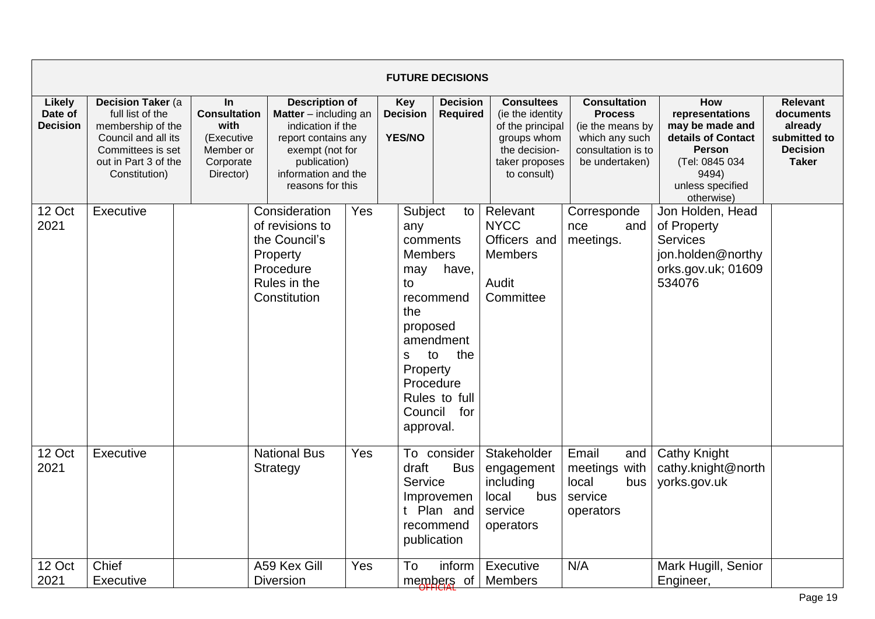|                                      |                                                                                                                                                 |                                                                                               |                                                                                                                                                                                   |     |                                                                                                                                          | <b>FUTURE DECISIONS</b>                                              |                                                                                                                             |                                                                                                                     |                                                                                                                                               |                                                                                            |
|--------------------------------------|-------------------------------------------------------------------------------------------------------------------------------------------------|-----------------------------------------------------------------------------------------------|-----------------------------------------------------------------------------------------------------------------------------------------------------------------------------------|-----|------------------------------------------------------------------------------------------------------------------------------------------|----------------------------------------------------------------------|-----------------------------------------------------------------------------------------------------------------------------|---------------------------------------------------------------------------------------------------------------------|-----------------------------------------------------------------------------------------------------------------------------------------------|--------------------------------------------------------------------------------------------|
| Likely<br>Date of<br><b>Decision</b> | Decision Taker (a<br>full list of the<br>membership of the<br>Council and all its<br>Committees is set<br>out in Part 3 of the<br>Constitution) | <b>In</b><br><b>Consultation</b><br>with<br>(Executive<br>Member or<br>Corporate<br>Director) | <b>Description of</b><br><b>Matter</b> $-$ including an<br>indication if the<br>report contains any<br>exempt (not for<br>publication)<br>information and the<br>reasons for this |     | Key<br><b>Decision</b><br><b>YES/NO</b>                                                                                                  | <b>Decision</b><br><b>Required</b>                                   | <b>Consultees</b><br>(ie the identity)<br>of the principal<br>groups whom<br>the decision-<br>taker proposes<br>to consult) | <b>Consultation</b><br><b>Process</b><br>(ie the means by<br>which any such<br>consultation is to<br>be undertaken) | How<br>representations<br>may be made and<br>details of Contact<br><b>Person</b><br>(Tel: 0845 034<br>9494)<br>unless specified<br>otherwise) | <b>Relevant</b><br>documents<br>already<br>submitted to<br><b>Decision</b><br><b>Taker</b> |
| 12 Oct<br>2021                       | Executive                                                                                                                                       |                                                                                               | Consideration<br>of revisions to<br>the Council's<br>Property<br>Procedure<br>Rules in the<br>Constitution                                                                        | Yes | Subject<br>any<br>comments<br><b>Members</b><br>may<br>to<br>the<br>proposed<br>to<br>s<br>Property<br>Procedure<br>Council<br>approval. | to<br>have,<br>recommend<br>amendment<br>the<br>Rules to full<br>for | Relevant<br><b>NYCC</b><br>Officers and<br>Members<br>Audit<br>Committee                                                    | Corresponde<br>nce<br>and<br>meetings.                                                                              | Jon Holden, Head<br>of Property<br><b>Services</b><br>jon.holden@northy<br>orks.gov.uk; 01609<br>534076                                       |                                                                                            |
| 12 Oct<br>2021                       | Executive                                                                                                                                       |                                                                                               | <b>National Bus</b><br>Strategy                                                                                                                                                   | Yes | draft<br>Service<br>publication                                                                                                          | To consider<br><b>Bus</b><br>Improvemen<br>t Plan and<br>recommend   | Stakeholder<br>engagement<br>including<br>local<br>bus<br>service<br>operators                                              | Email<br>and<br>meetings with<br>local<br>bus<br>service<br>operators                                               | <b>Cathy Knight</b><br>cathy.knight@north<br>yorks.gov.uk                                                                                     |                                                                                            |
| 12 Oct<br>2021                       | Chief<br>Executive                                                                                                                              |                                                                                               | A59 Kex Gill<br><b>Diversion</b>                                                                                                                                                  | Yes | To                                                                                                                                       | inform<br>members of                                                 | Executive<br><b>Members</b>                                                                                                 | N/A                                                                                                                 | Mark Hugill, Senior<br>Engineer,                                                                                                              |                                                                                            |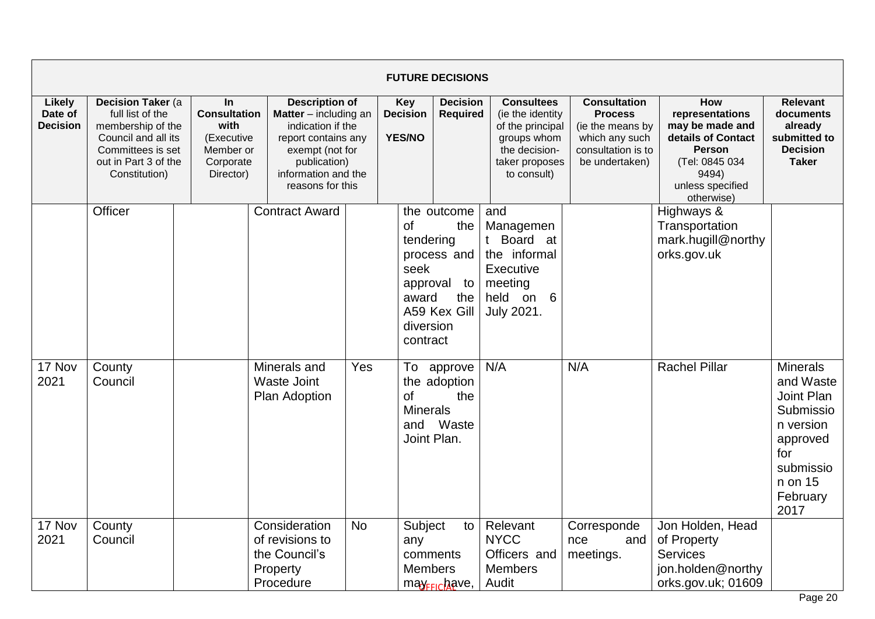|                                             |                                                                                                                                                 |                                                                                        |                                                                                                                                                                                   |           | <b>FUTURE DECISIONS</b>                                                      |                                                                |                                                                                                                            |                                                                                                                     |                                                                                                                                               |                                                                                                                                     |
|---------------------------------------------|-------------------------------------------------------------------------------------------------------------------------------------------------|----------------------------------------------------------------------------------------|-----------------------------------------------------------------------------------------------------------------------------------------------------------------------------------|-----------|------------------------------------------------------------------------------|----------------------------------------------------------------|----------------------------------------------------------------------------------------------------------------------------|---------------------------------------------------------------------------------------------------------------------|-----------------------------------------------------------------------------------------------------------------------------------------------|-------------------------------------------------------------------------------------------------------------------------------------|
| <b>Likely</b><br>Date of<br><b>Decision</b> | Decision Taker (a<br>full list of the<br>membership of the<br>Council and all its<br>Committees is set<br>out in Part 3 of the<br>Constitution) | In<br><b>Consultation</b><br>with<br>(Executive<br>Member or<br>Corporate<br>Director) | <b>Description of</b><br><b>Matter</b> $-$ including an<br>indication if the<br>report contains any<br>exempt (not for<br>publication)<br>information and the<br>reasons for this |           | <b>Key</b><br><b>Decision</b><br><b>YES/NO</b>                               | <b>Decision</b><br><b>Required</b>                             | <b>Consultees</b><br>(ie the identity<br>of the principal<br>groups whom<br>the decision-<br>taker proposes<br>to consult) | <b>Consultation</b><br><b>Process</b><br>(ie the means by<br>which any such<br>consultation is to<br>be undertaken) | How<br>representations<br>may be made and<br>details of Contact<br><b>Person</b><br>(Tel: 0845 034<br>9494)<br>unless specified<br>otherwise) | <b>Relevant</b><br>documents<br>already<br>submitted to<br><b>Decision</b><br><b>Taker</b>                                          |
|                                             | Officer                                                                                                                                         |                                                                                        | <b>Contract Award</b>                                                                                                                                                             |           | <b>of</b><br>tendering<br>seek<br>approval<br>award<br>diversion<br>contract | the outcome<br>the<br>process and<br>to<br>the<br>A59 Kex Gill | and<br>Managemen<br>t Board at<br>the informal<br>Executive<br>meeting<br>held on 6<br>July 2021.                          |                                                                                                                     | Highways &<br>Transportation<br>mark.hugill@northy<br>orks.gov.uk                                                                             |                                                                                                                                     |
| 17 Nov<br>2021                              | County<br>Council                                                                                                                               |                                                                                        | Minerals and<br><b>Waste Joint</b><br>Plan Adoption                                                                                                                               | Yes       | <b>of</b><br><b>Minerals</b><br>Joint Plan.                                  | To approve<br>the adoption<br>the<br>and Waste                 | N/A                                                                                                                        | N/A                                                                                                                 | <b>Rachel Pillar</b>                                                                                                                          | <b>Minerals</b><br>and Waste<br>Joint Plan<br>Submissio<br>n version<br>approved<br>for<br>submissio<br>n on 15<br>February<br>2017 |
| 17 Nov<br>2021                              | County<br>Council                                                                                                                               |                                                                                        | Consideration<br>of revisions to<br>the Council's<br>Property<br>Procedure                                                                                                        | <b>No</b> | Subject<br>any<br>comments<br><b>Members</b>                                 | to<br>may <sub>FFIC</sub> have,                                | Relevant<br><b>NYCC</b><br>Officers and<br><b>Members</b><br>Audit                                                         | Corresponde<br>and<br>nce<br>meetings.                                                                              | Jon Holden, Head<br>of Property<br><b>Services</b><br>jon.holden@northy<br>orks.gov.uk; 01609                                                 |                                                                                                                                     |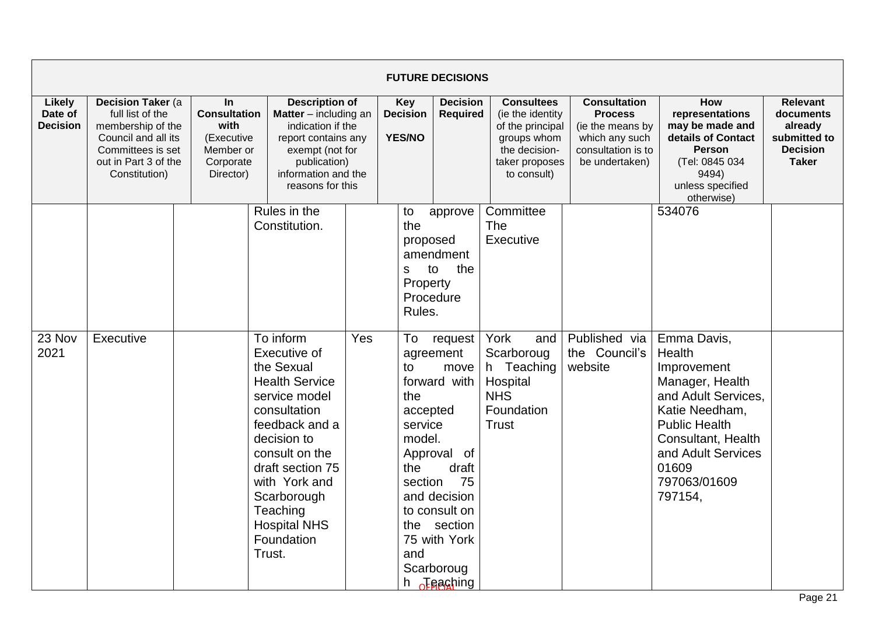|                                             |                                                                                                                                                         |                                                                                        |                                                                                                                                                                                                                                                                                                      |     |                                                                                                                                      | <b>FUTURE DECISIONS</b>                                                                                                                                                                                |                                                                                                                            |                                                                                                                     |                                                                                                                                                                                                                    |                                                                                            |
|---------------------------------------------|---------------------------------------------------------------------------------------------------------------------------------------------------------|----------------------------------------------------------------------------------------|------------------------------------------------------------------------------------------------------------------------------------------------------------------------------------------------------------------------------------------------------------------------------------------------------|-----|--------------------------------------------------------------------------------------------------------------------------------------|--------------------------------------------------------------------------------------------------------------------------------------------------------------------------------------------------------|----------------------------------------------------------------------------------------------------------------------------|---------------------------------------------------------------------------------------------------------------------|--------------------------------------------------------------------------------------------------------------------------------------------------------------------------------------------------------------------|--------------------------------------------------------------------------------------------|
| <b>Likely</b><br>Date of<br><b>Decision</b> | <b>Decision Taker (a)</b><br>full list of the<br>membership of the<br>Council and all its<br>Committees is set<br>out in Part 3 of the<br>Constitution) | In<br><b>Consultation</b><br>with<br>(Executive<br>Member or<br>Corporate<br>Director) | <b>Description of</b><br><b>Matter</b> $-$ including an<br>indication if the<br>report contains any<br>exempt (not for<br>publication)<br>information and the<br>reasons for this                                                                                                                    |     | Key<br><b>Decision</b><br><b>YES/NO</b>                                                                                              | <b>Decision</b><br><b>Required</b>                                                                                                                                                                     | <b>Consultees</b><br>(ie the identity<br>of the principal<br>groups whom<br>the decision-<br>taker proposes<br>to consult) | <b>Consultation</b><br><b>Process</b><br>(ie the means by<br>which any such<br>consultation is to<br>be undertaken) | How<br>representations<br>may be made and<br>details of Contact<br><b>Person</b><br>(Tel: 0845 034<br>9494)<br>unless specified<br>otherwise)                                                                      | <b>Relevant</b><br>documents<br>already<br>submitted to<br><b>Decision</b><br><b>Taker</b> |
| 23 Nov<br>2021                              | Executive                                                                                                                                               |                                                                                        | Rules in the<br>Constitution.<br>To inform<br>Executive of<br>the Sexual<br><b>Health Service</b><br>service model<br>consultation<br>feedback and a<br>decision to<br>consult on the<br>draft section 75<br>with York and<br>Scarborough<br>Teaching<br><b>Hospital NHS</b><br>Foundation<br>Trust. | Yes | to<br>the<br>proposed<br>S<br>Property<br>Rules.<br>To<br>to<br>the<br>accepted<br>service<br>model.<br>the<br>section<br>the<br>and | approve<br>amendment<br>the<br>to<br>Procedure<br>request<br>agreement<br>move<br>forward with<br>Approval of<br>draft<br>75<br>and decision<br>to consult on<br>section<br>75 with York<br>Scarboroug | Committee<br>The<br>Executive<br>York<br>and<br>Scarboroug<br>h Teaching<br>Hospital<br><b>NHS</b><br>Foundation<br>Trust  | Published via<br>the Council's<br>website                                                                           | 534076<br>Emma Davis,<br>Health<br>Improvement<br>Manager, Health<br>and Adult Services.<br>Katie Needham,<br><b>Public Health</b><br>Consultant, Health<br>and Adult Services<br>01609<br>797063/01609<br>797154, |                                                                                            |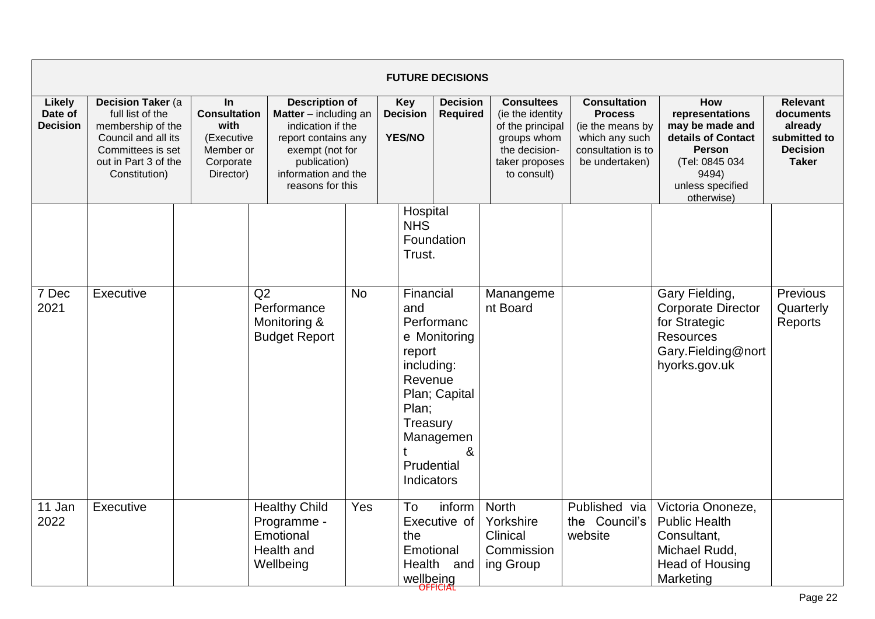|                                             |                                                                                                                                                 |                                                                                        |                                                                                                                                                                                   |                                         |                                                                                                      | <b>FUTURE DECISIONS</b>                                       |                                                                                                                            |                                                                                                                     |                                                                                                                                               |                                                                                            |
|---------------------------------------------|-------------------------------------------------------------------------------------------------------------------------------------------------|----------------------------------------------------------------------------------------|-----------------------------------------------------------------------------------------------------------------------------------------------------------------------------------|-----------------------------------------|------------------------------------------------------------------------------------------------------|---------------------------------------------------------------|----------------------------------------------------------------------------------------------------------------------------|---------------------------------------------------------------------------------------------------------------------|-----------------------------------------------------------------------------------------------------------------------------------------------|--------------------------------------------------------------------------------------------|
| <b>Likely</b><br>Date of<br><b>Decision</b> | Decision Taker (a<br>full list of the<br>membership of the<br>Council and all its<br>Committees is set<br>out in Part 3 of the<br>Constitution) | In<br><b>Consultation</b><br>with<br>(Executive<br>Member or<br>Corporate<br>Director) | <b>Description of</b><br><b>Matter</b> $-$ including an<br>indication if the<br>report contains any<br>exempt (not for<br>publication)<br>information and the<br>reasons for this | Key<br><b>Decision</b><br><b>YES/NO</b> |                                                                                                      | <b>Decision</b><br><b>Required</b>                            | <b>Consultees</b><br>(ie the identity<br>of the principal<br>groups whom<br>the decision-<br>taker proposes<br>to consult) | <b>Consultation</b><br><b>Process</b><br>(ie the means by<br>which any such<br>consultation is to<br>be undertaken) | How<br>representations<br>may be made and<br>details of Contact<br><b>Person</b><br>(Tel: 0845 034<br>9494)<br>unless specified<br>otherwise) | <b>Relevant</b><br>documents<br>already<br>submitted to<br><b>Decision</b><br><b>Taker</b> |
|                                             |                                                                                                                                                 |                                                                                        |                                                                                                                                                                                   |                                         | Hospital<br><b>NHS</b><br>Trust.                                                                     | Foundation                                                    |                                                                                                                            |                                                                                                                     |                                                                                                                                               |                                                                                            |
| 7 Dec<br>2021                               | Executive                                                                                                                                       |                                                                                        | Q2<br>Performance<br>Monitoring &<br><b>Budget Report</b>                                                                                                                         | <b>No</b>                               | Financial<br>and<br>report<br>including:<br>Revenue<br>Plan;<br>Treasury<br>Prudential<br>Indicators | Performanc<br>e Monitoring<br>Plan; Capital<br>Managemen<br>& | Manangeme<br>nt Board                                                                                                      |                                                                                                                     | Gary Fielding,<br><b>Corporate Director</b><br>for Strategic<br><b>Resources</b><br>Gary.Fielding@nort<br>hyorks.gov.uk                       | Previous<br>Quarterly<br>Reports                                                           |
| 11 Jan<br>2022                              | Executive                                                                                                                                       |                                                                                        | <b>Healthy Child</b><br>Programme -<br>Emotional<br>Health and<br>Wellbeing                                                                                                       | Yes                                     | To<br>the<br>Emotional<br>Health<br>wellbeing                                                        | inform<br>Executive of<br>and                                 | <b>North</b><br>Yorkshire<br>Clinical<br>Commission<br>ing Group                                                           | Published via<br>the Council's<br>website                                                                           | Victoria Ononeze,<br><b>Public Health</b><br>Consultant,<br>Michael Rudd,<br>Head of Housing<br>Marketing                                     |                                                                                            |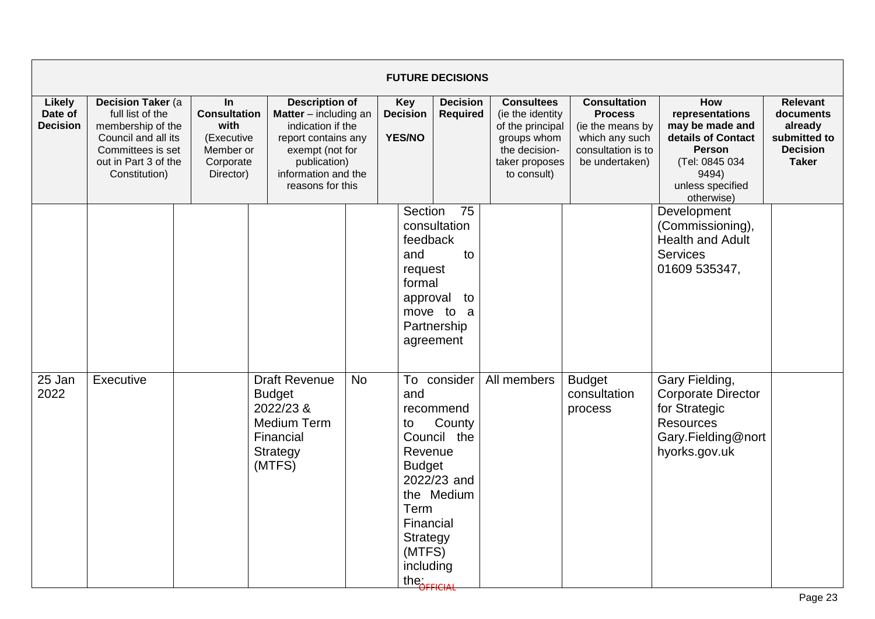|                                             |                                                                                                                                                         |                                                                                           |                                                                                                                                                                          |           |                                                                                                                       | <b>FUTURE DECISIONS</b>                                                        |                                                                                                                            |                                                                                                                     |                                                                                                                                               |                                                                                            |
|---------------------------------------------|---------------------------------------------------------------------------------------------------------------------------------------------------------|-------------------------------------------------------------------------------------------|--------------------------------------------------------------------------------------------------------------------------------------------------------------------------|-----------|-----------------------------------------------------------------------------------------------------------------------|--------------------------------------------------------------------------------|----------------------------------------------------------------------------------------------------------------------------|---------------------------------------------------------------------------------------------------------------------|-----------------------------------------------------------------------------------------------------------------------------------------------|--------------------------------------------------------------------------------------------|
| <b>Likely</b><br>Date of<br><b>Decision</b> | <b>Decision Taker (a)</b><br>full list of the<br>membership of the<br>Council and all its<br>Committees is set<br>out in Part 3 of the<br>Constitution) | $\ln$<br><b>Consultation</b><br>with<br>(Executive<br>Member or<br>Corporate<br>Director) | <b>Description of</b><br>Matter - including an<br>indication if the<br>report contains any<br>exempt (not for<br>publication)<br>information and the<br>reasons for this |           | <b>Key</b><br><b>Decision</b><br>YES/NO                                                                               | <b>Decision</b><br><b>Required</b>                                             | <b>Consultees</b><br>(ie the identity<br>of the principal<br>groups whom<br>the decision-<br>taker proposes<br>to consult) | <b>Consultation</b><br><b>Process</b><br>(ie the means by<br>which any such<br>consultation is to<br>be undertaken) | How<br>representations<br>may be made and<br>details of Contact<br><b>Person</b><br>(Tel: 0845 034<br>9494)<br>unless specified<br>otherwise) | <b>Relevant</b><br>documents<br>already<br>submitted to<br><b>Decision</b><br><b>Taker</b> |
|                                             |                                                                                                                                                         |                                                                                           |                                                                                                                                                                          |           | Section<br>feedback<br>and<br>request<br>formal<br>approval                                                           | 75<br>consultation<br>to<br>to<br>move to a<br>Partnership<br>agreement        |                                                                                                                            |                                                                                                                     | Development<br>(Commissioning),<br><b>Health and Adult</b><br>Services<br>01609 535347,                                                       |                                                                                            |
| 25 Jan<br>2022                              | Executive                                                                                                                                               |                                                                                           | <b>Draft Revenue</b><br><b>Budget</b><br>2022/23 &<br><b>Medium Term</b><br>Financial<br>Strategy<br>(MTFS)                                                              | <b>No</b> | and<br>to<br>Revenue<br><b>Budget</b><br>Term<br>Financial<br>Strategy<br>(MTFS)<br>including<br>the <b>COFFICIAL</b> | To consider<br>recommend<br>County<br>Council the<br>2022/23 and<br>the Medium | All members                                                                                                                | <b>Budget</b><br>consultation<br>process                                                                            | Gary Fielding,<br><b>Corporate Director</b><br>for Strategic<br><b>Resources</b><br>Gary.Fielding@nort<br>hyorks.gov.uk                       |                                                                                            |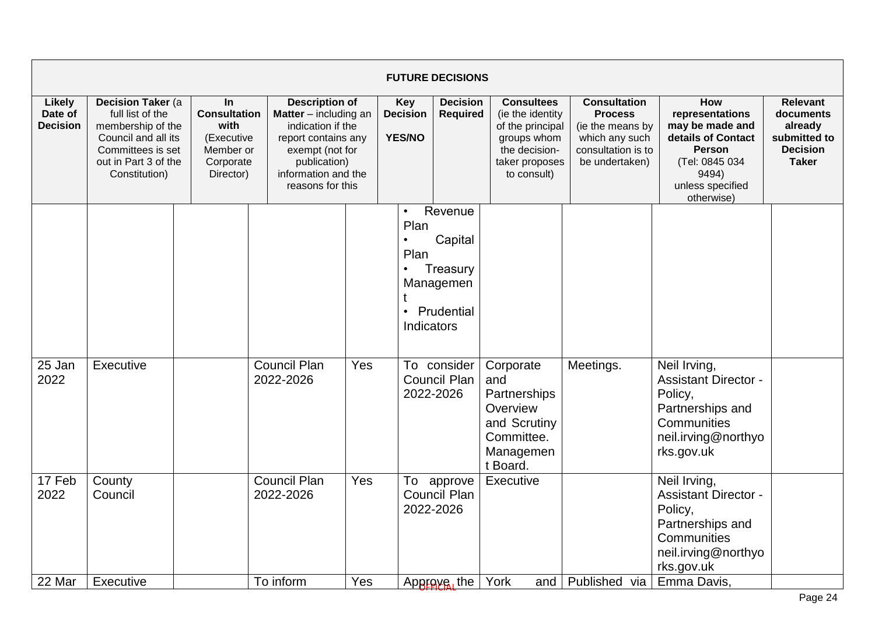|                                      |                                                                                                                                                         |                                                                                         |                                                                                                                                                                                   |     |                                                     | <b>FUTURE DECISIONS</b>                                                 |                                                                                                                            |                                                                                                                     |                                                                                                                                               |                                                                                            |
|--------------------------------------|---------------------------------------------------------------------------------------------------------------------------------------------------------|-----------------------------------------------------------------------------------------|-----------------------------------------------------------------------------------------------------------------------------------------------------------------------------------|-----|-----------------------------------------------------|-------------------------------------------------------------------------|----------------------------------------------------------------------------------------------------------------------------|---------------------------------------------------------------------------------------------------------------------|-----------------------------------------------------------------------------------------------------------------------------------------------|--------------------------------------------------------------------------------------------|
| Likely<br>Date of<br><b>Decision</b> | <b>Decision Taker (a)</b><br>full list of the<br>membership of the<br>Council and all its<br>Committees is set<br>out in Part 3 of the<br>Constitution) | In.<br><b>Consultation</b><br>with<br>(Executive<br>Member or<br>Corporate<br>Director) | <b>Description of</b><br><b>Matter</b> $-$ including an<br>indication if the<br>report contains any<br>exempt (not for<br>publication)<br>information and the<br>reasons for this |     | Key<br><b>Decision</b><br><b>YES/NO</b>             | <b>Decision</b><br><b>Required</b>                                      | <b>Consultees</b><br>(ie the identity<br>of the principal<br>groups whom<br>the decision-<br>taker proposes<br>to consult) | <b>Consultation</b><br><b>Process</b><br>(ie the means by<br>which any such<br>consultation is to<br>be undertaken) | How<br>representations<br>may be made and<br>details of Contact<br><b>Person</b><br>(Tel: 0845 034<br>9494)<br>unless specified<br>otherwise) | <b>Relevant</b><br>documents<br>already<br>submitted to<br><b>Decision</b><br><b>Taker</b> |
|                                      |                                                                                                                                                         |                                                                                         |                                                                                                                                                                                   |     | $\bullet$<br>Plan<br>Plan<br>$\bullet$<br>$\bullet$ | Revenue<br>Capital<br>Treasury<br>Managemen<br>Prudential<br>Indicators |                                                                                                                            |                                                                                                                     |                                                                                                                                               |                                                                                            |
| 25 Jan<br>2022                       | Executive                                                                                                                                               |                                                                                         | <b>Council Plan</b><br>2022-2026                                                                                                                                                  | Yes |                                                     | To consider<br><b>Council Plan</b><br>2022-2026                         | Corporate<br>and<br>Partnerships<br>Overview<br>and Scrutiny<br>Committee.<br>Managemen<br>t Board.                        | Meetings.                                                                                                           | Neil Irving,<br><b>Assistant Director -</b><br>Policy,<br>Partnerships and<br>Communities<br>neil.irving@northyo<br>rks.gov.uk                |                                                                                            |
| 17 Feb<br>2022                       | County<br>Council                                                                                                                                       |                                                                                         | <b>Council Plan</b><br>2022-2026                                                                                                                                                  | Yes |                                                     | To approve<br><b>Council Plan</b><br>2022-2026                          | Executive                                                                                                                  |                                                                                                                     | Neil Irving,<br><b>Assistant Director -</b><br>Policy,<br>Partnerships and<br>Communities<br>neil.irving@northyo<br>rks.gov.uk                |                                                                                            |
| 22 Mar                               | Executive                                                                                                                                               |                                                                                         | To inform                                                                                                                                                                         | Yes |                                                     | Approve, the                                                            | York<br>and                                                                                                                | Published via                                                                                                       | Emma Davis,                                                                                                                                   |                                                                                            |